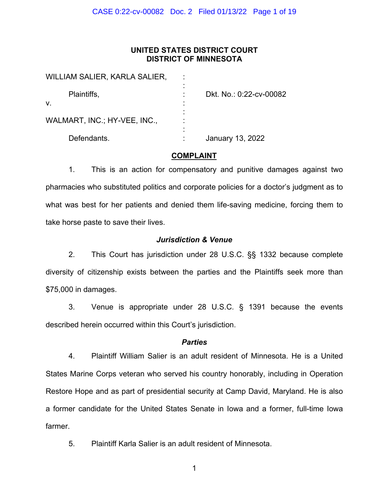#### **UNITED STATES DISTRICT COURT DISTRICT OF MINNESOTA**

| WILLIAM SALIER, KARLA SALIER, |                         |
|-------------------------------|-------------------------|
| Plaintiffs,                   | Dkt. No.: 0:22-cv-00082 |
| V.                            |                         |
| WALMART, INC.; HY-VEE, INC.,  |                         |
| Defendants.                   | January 13, 2022        |

#### **COMPLAINT**

1. This is an action for compensatory and punitive damages against two pharmacies who substituted politics and corporate policies for a doctor's judgment as to what was best for her patients and denied them life-saving medicine, forcing them to take horse paste to save their lives.

#### *Jurisdiction & Venue*

2. This Court has jurisdiction under 28 U.S.C. §§ 1332 because complete diversity of citizenship exists between the parties and the Plaintiffs seek more than \$75,000 in damages.

3. Venue is appropriate under 28 U.S.C. § 1391 because the events described herein occurred within this Court's jurisdiction.

#### *Parties*

4. Plaintiff William Salier is an adult resident of Minnesota. He is a United States Marine Corps veteran who served his country honorably, including in Operation Restore Hope and as part of presidential security at Camp David, Maryland. He is also a former candidate for the United States Senate in Iowa and a former, full-time Iowa farmer.

5. Plaintiff Karla Salier is an adult resident of Minnesota.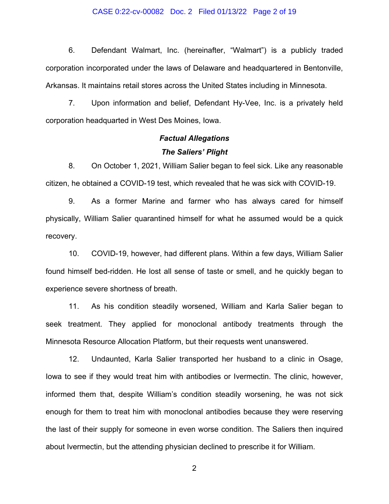#### CASE 0:22-cv-00082 Doc. 2 Filed 01/13/22 Page 2 of 19

6. Defendant Walmart, Inc. (hereinafter, "Walmart") is a publicly traded corporation incorporated under the laws of Delaware and headquartered in Bentonville, Arkansas. It maintains retail stores across the United States including in Minnesota.

7. Upon information and belief, Defendant Hy-Vee, Inc. is a privately held corporation headquarted in West Des Moines, Iowa.

### *Factual Allegations The Saliers' Plight*

8. On October 1, 2021, William Salier began to feel sick. Like any reasonable citizen, he obtained a COVID-19 test, which revealed that he was sick with COVID-19.

9. As a former Marine and farmer who has always cared for himself physically, William Salier quarantined himself for what he assumed would be a quick recovery.

10. COVID-19, however, had different plans. Within a few days, William Salier found himself bed-ridden. He lost all sense of taste or smell, and he quickly began to experience severe shortness of breath.

11. As his condition steadily worsened, William and Karla Salier began to seek treatment. They applied for monoclonal antibody treatments through the Minnesota Resource Allocation Platform, but their requests went unanswered.

12. Undaunted, Karla Salier transported her husband to a clinic in Osage, Iowa to see if they would treat him with antibodies or Ivermectin. The clinic, however, informed them that, despite William's condition steadily worsening, he was not sick enough for them to treat him with monoclonal antibodies because they were reserving the last of their supply for someone in even worse condition. The Saliers then inquired about Ivermectin, but the attending physician declined to prescribe it for William.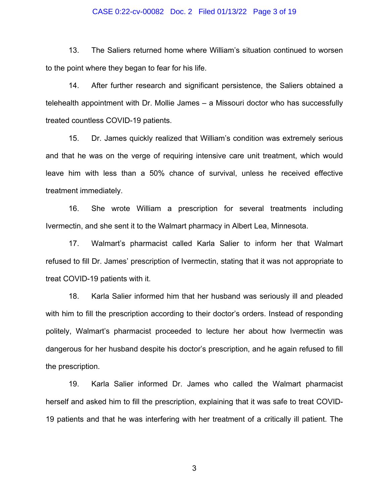#### CASE 0:22-cv-00082 Doc. 2 Filed 01/13/22 Page 3 of 19

13. The Saliers returned home where William's situation continued to worsen to the point where they began to fear for his life.

14. After further research and significant persistence, the Saliers obtained a telehealth appointment with Dr. Mollie James – a Missouri doctor who has successfully treated countless COVID-19 patients.

15. Dr. James quickly realized that William's condition was extremely serious and that he was on the verge of requiring intensive care unit treatment, which would leave him with less than a 50% chance of survival, unless he received effective treatment immediately.

16. She wrote William a prescription for several treatments including Ivermectin, and she sent it to the Walmart pharmacy in Albert Lea, Minnesota.

17. Walmart's pharmacist called Karla Salier to inform her that Walmart refused to fill Dr. James' prescription of Ivermectin, stating that it was not appropriate to treat COVID-19 patients with it.

18. Karla Salier informed him that her husband was seriously ill and pleaded with him to fill the prescription according to their doctor's orders. Instead of responding politely, Walmart's pharmacist proceeded to lecture her about how Ivermectin was dangerous for her husband despite his doctor's prescription, and he again refused to fill the prescription.

19. Karla Salier informed Dr. James who called the Walmart pharmacist herself and asked him to fill the prescription, explaining that it was safe to treat COVID-19 patients and that he was interfering with her treatment of a critically ill patient. The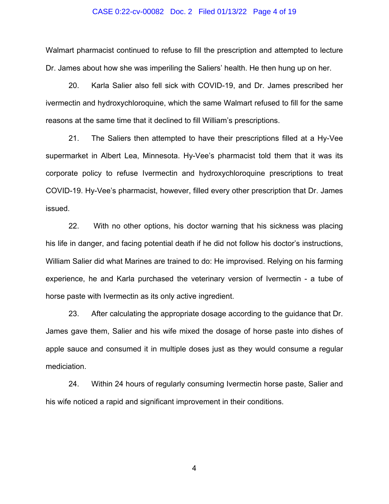#### CASE 0:22-cv-00082 Doc. 2 Filed 01/13/22 Page 4 of 19

Walmart pharmacist continued to refuse to fill the prescription and attempted to lecture Dr. James about how she was imperiling the Saliers' health. He then hung up on her.

20. Karla Salier also fell sick with COVID-19, and Dr. James prescribed her ivermectin and hydroxychloroquine, which the same Walmart refused to fill for the same reasons at the same time that it declined to fill William's prescriptions.

21. The Saliers then attempted to have their prescriptions filled at a Hy-Vee supermarket in Albert Lea, Minnesota. Hy-Vee's pharmacist told them that it was its corporate policy to refuse Ivermectin and hydroxychloroquine prescriptions to treat COVID-19. Hy-Vee's pharmacist, however, filled every other prescription that Dr. James issued.

22. With no other options, his doctor warning that his sickness was placing his life in danger, and facing potential death if he did not follow his doctor's instructions, William Salier did what Marines are trained to do: He improvised. Relying on his farming experience, he and Karla purchased the veterinary version of Ivermectin - a tube of horse paste with Ivermectin as its only active ingredient.

23. After calculating the appropriate dosage according to the guidance that Dr. James gave them, Salier and his wife mixed the dosage of horse paste into dishes of apple sauce and consumed it in multiple doses just as they would consume a regular mediciation.

24. Within 24 hours of regularly consuming Ivermectin horse paste, Salier and his wife noticed a rapid and significant improvement in their conditions.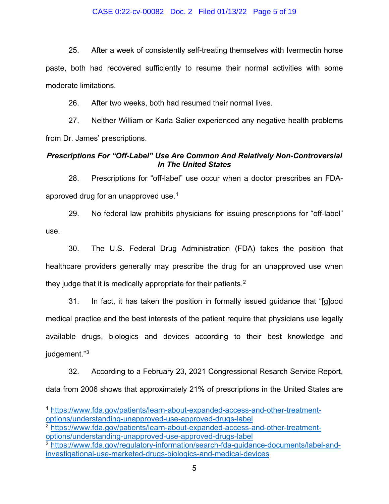#### CASE 0:22-cv-00082 Doc. 2 Filed 01/13/22 Page 5 of 19

25. After a week of consistently self-treating themselves with Ivermectin horse paste, both had recovered sufficiently to resume their normal activities with some moderate limitations.

26. After two weeks, both had resumed their normal lives.

27. Neither William or Karla Salier experienced any negative health problems from Dr. James' prescriptions.

#### *Prescriptions For "Off-Label" Use Are Common And Relatively Non-Controversial In The United States*

28. Prescriptions for "off-label" use occur when a doctor prescribes an FDA-approved drug for an unapproved use.<sup>[1](#page-4-0)</sup>

29. No federal law prohibits physicians for issuing prescriptions for "off-label" use.

30. The U.S. Federal Drug Administration (FDA) takes the position that healthcare providers generally may prescribe the drug for an unapproved use when they judge that it is medically appropriate for their patients. $2<sup>2</sup>$  $2<sup>2</sup>$ 

31. In fact, it has taken the position in formally issued guidance that "[g]ood medical practice and the best interests of the patient require that physicians use legally available drugs, biologics and devices according to their best knowledge and judgement."<sup>[3](#page-4-0)</sup>

32. According to a February 23, 2021 Congressional Resarch Service Report, data from 2006 shows that approximately 21% of prescriptions in the United States are

<sup>1</sup> [https://www.fda.gov/patients/learn-about-expanded-access-and-other-treatment](https://www.fda.gov/patients/learn-about-expanded-access-and-other-treatment-options/understanding-unapproved-use-approved-drugs-label)[options/understanding-unapproved-use-approved-drugs-label](https://www.fda.gov/patients/learn-about-expanded-access-and-other-treatment-options/understanding-unapproved-use-approved-drugs-label)

<sup>2</sup> [https://www.fda.gov/patients/learn-about-expanded-access-and-other-treatment](https://www.fda.gov/patients/learn-about-expanded-access-and-other-treatment-options/understanding-unapproved-use-approved-drugs-label)[options/understanding-unapproved-use-approved-drugs-label](https://www.fda.gov/patients/learn-about-expanded-access-and-other-treatment-options/understanding-unapproved-use-approved-drugs-label)

<span id="page-4-0"></span><sup>3</sup> [https://www.fda.gov/regulatory-information/search-fda-guidance-documents/label-and](https://www.fda.gov/regulatory-information/search-fda-guidance-documents/label-and-investigational-use-marketed-drugs-biologics-and-medical-devices)[investigational-use-marketed-drugs-biologics-and-medical-devices](https://www.fda.gov/regulatory-information/search-fda-guidance-documents/label-and-investigational-use-marketed-drugs-biologics-and-medical-devices)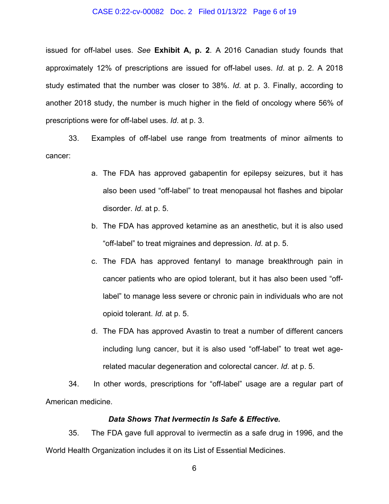#### CASE 0:22-cv-00082 Doc. 2 Filed 01/13/22 Page 6 of 19

issued for off-label uses. *See* **Exhibit A, p. 2**. A 2016 Canadian study founds that approximately 12% of prescriptions are issued for off-label uses. *Id*. at p. 2. A 2018 study estimated that the number was closer to 38%. *Id*. at p. 3. Finally, according to another 2018 study, the number is much higher in the field of oncology where 56% of prescriptions were for off-label uses. *Id*. at p. 3.

33. Examples of off-label use range from treatments of minor ailments to cancer:

- a. The FDA has approved gabapentin for epilepsy seizures, but it has also been used "off-label" to treat menopausal hot flashes and bipolar disorder. *Id*. at p. 5.
- b. The FDA has approved ketamine as an anesthetic, but it is also used "off-label" to treat migraines and depression. *Id*. at p. 5.
- c. The FDA has approved fentanyl to manage breakthrough pain in cancer patients who are opiod tolerant, but it has also been used "offlabel" to manage less severe or chronic pain in individuals who are not opioid tolerant. *Id*. at p. 5.
- d. The FDA has approved Avastin to treat a number of different cancers including lung cancer, but it is also used "off-label" to treat wet agerelated macular degeneration and colorectal cancer. *Id*. at p. 5.

34. In other words, prescriptions for "off-label" usage are a regular part of American medicine.

#### *Data Shows That Ivermectin Is Safe & Effective.*

35. The FDA gave full approval to ivermectin as a safe drug in 1996, and the World Health Organization includes it on its List of Essential Medicines.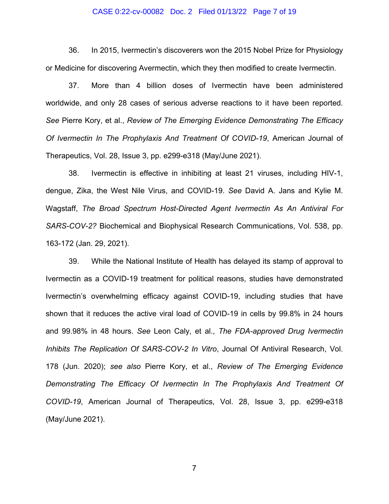#### CASE 0:22-cv-00082 Doc. 2 Filed 01/13/22 Page 7 of 19

36. In 2015, Ivermectin's discoverers won the 2015 Nobel Prize for Physiology or Medicine for discovering Avermectin, which they then modified to create Ivermectin.

37. More than 4 billion doses of Ivermectin have been administered worldwide, and only 28 cases of serious adverse reactions to it have been reported. *See* Pierre Kory, et al., *Review of The Emerging Evidence Demonstrating The Efficacy Of Ivermectin In The Prophylaxis And Treatment Of COVID-19*, American Journal of Therapeutics, Vol. 28, Issue 3, pp. e299-e318 (May/June 2021).

38. Ivermectin is effective in inhibiting at least 21 viruses, including HIV-1, dengue, Zika, the West Nile Virus, and COVID-19. *See* David A. Jans and Kylie M. Wagstaff, *The Broad Spectrum Host-Directed Agent Ivermectin As An Antiviral For SARS-COV-2?* Biochemical and Biophysical Research Communications, Vol. 538, pp. 163-172 (Jan. 29, 2021).

39. While the National Institute of Health has delayed its stamp of approval to Ivermectin as a COVID-19 treatment for political reasons, studies have demonstrated Ivermectin's overwhelming efficacy against COVID-19, including studies that have shown that it reduces the active viral load of COVID-19 in cells by 99.8% in 24 hours and 99.98% in 48 hours. *See* Leon Caly, et al., *The FDA-approved Drug Ivermectin Inhibits The Replication Of SARS-COV-2 In Vitro*, Journal Of Antiviral Research, Vol. 178 (Jun. 2020); *see also* Pierre Kory, et al., *Review of The Emerging Evidence Demonstrating The Efficacy Of Ivermectin In The Prophylaxis And Treatment Of COVID-19*, American Journal of Therapeutics, Vol. 28, Issue 3, pp. e299-e318 (May/June 2021).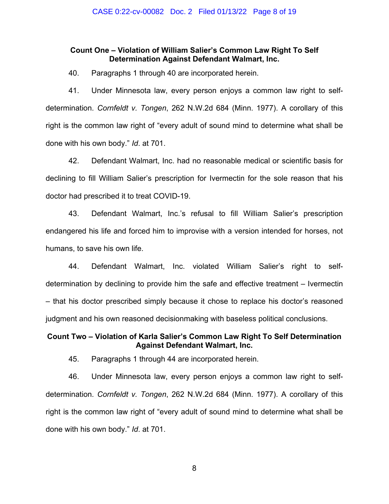#### **Count One – Violation of William Salier's Common Law Right To Self Determination Against Defendant Walmart, Inc.**

40. Paragraphs 1 through 40 are incorporated herein.

41. Under Minnesota law, every person enjoys a common law right to selfdetermination. *Cornfeldt v. Tongen*, 262 N.W.2d 684 (Minn. 1977). A corollary of this right is the common law right of "every adult of sound mind to determine what shall be done with his own body." *Id*. at 701.

42. Defendant Walmart, Inc. had no reasonable medical or scientific basis for declining to fill William Salier's prescription for Ivermectin for the sole reason that his doctor had prescribed it to treat COVID-19.

43. Defendant Walmart, Inc.'s refusal to fill William Salier's prescription endangered his life and forced him to improvise with a version intended for horses, not humans, to save his own life.

44. Defendant Walmart, Inc. violated William Salier's right to selfdetermination by declining to provide him the safe and effective treatment – Ivermectin – that his doctor prescribed simply because it chose to replace his doctor's reasoned judgment and his own reasoned decisionmaking with baseless political conclusions.

#### **Count Two – Violation of Karla Salier's Common Law Right To Self Determination Against Defendant Walmart, Inc.**

45. Paragraphs 1 through 44 are incorporated herein.

46. Under Minnesota law, every person enjoys a common law right to selfdetermination. *Cornfeldt v. Tongen*, 262 N.W.2d 684 (Minn. 1977). A corollary of this right is the common law right of "every adult of sound mind to determine what shall be done with his own body." *Id*. at 701.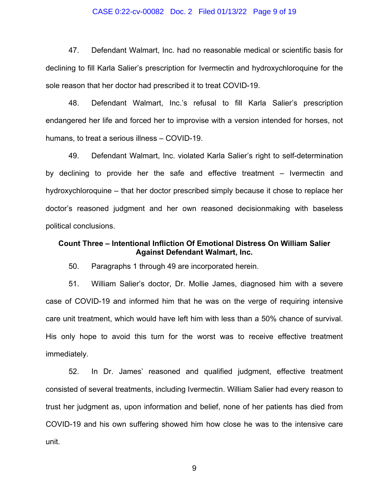#### CASE 0:22-cv-00082 Doc. 2 Filed 01/13/22 Page 9 of 19

47. Defendant Walmart, Inc. had no reasonable medical or scientific basis for declining to fill Karla Salier's prescription for Ivermectin and hydroxychloroquine for the sole reason that her doctor had prescribed it to treat COVID-19.

48. Defendant Walmart, Inc.'s refusal to fill Karla Salier's prescription endangered her life and forced her to improvise with a version intended for horses, not humans, to treat a serious illness – COVID-19.

49. Defendant Walmart, Inc. violated Karla Salier's right to self-determination by declining to provide her the safe and effective treatment – Ivermectin and hydroxychloroquine – that her doctor prescribed simply because it chose to replace her doctor's reasoned judgment and her own reasoned decisionmaking with baseless political conclusions.

#### **Count Three – Intentional Infliction Of Emotional Distress On William Salier Against Defendant Walmart, Inc.**

50. Paragraphs 1 through 49 are incorporated herein.

51. William Salier's doctor, Dr. Mollie James, diagnosed him with a severe case of COVID-19 and informed him that he was on the verge of requiring intensive care unit treatment, which would have left him with less than a 50% chance of survival. His only hope to avoid this turn for the worst was to receive effective treatment immediately.

52. In Dr. James' reasoned and qualified judgment, effective treatment consisted of several treatments, including Ivermectin. William Salier had every reason to trust her judgment as, upon information and belief, none of her patients has died from COVID-19 and his own suffering showed him how close he was to the intensive care unit.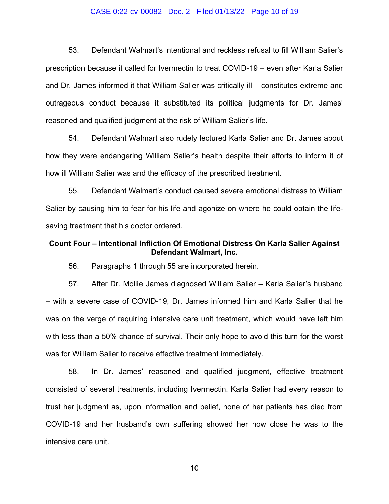#### CASE 0:22-cv-00082 Doc. 2 Filed 01/13/22 Page 10 of 19

53. Defendant Walmart's intentional and reckless refusal to fill William Salier's prescription because it called for Ivermectin to treat COVID-19 – even after Karla Salier and Dr. James informed it that William Salier was critically ill – constitutes extreme and outrageous conduct because it substituted its political judgments for Dr. James' reasoned and qualified judgment at the risk of William Salier's life.

54. Defendant Walmart also rudely lectured Karla Salier and Dr. James about how they were endangering William Salier's health despite their efforts to inform it of how ill William Salier was and the efficacy of the prescribed treatment.

55. Defendant Walmart's conduct caused severe emotional distress to William Salier by causing him to fear for his life and agonize on where he could obtain the lifesaving treatment that his doctor ordered.

#### **Count Four – Intentional Infliction Of Emotional Distress On Karla Salier Against Defendant Walmart, Inc.**

56. Paragraphs 1 through 55 are incorporated herein.

57. After Dr. Mollie James diagnosed William Salier – Karla Salier's husband – with a severe case of COVID-19, Dr. James informed him and Karla Salier that he was on the verge of requiring intensive care unit treatment, which would have left him with less than a 50% chance of survival. Their only hope to avoid this turn for the worst was for William Salier to receive effective treatment immediately.

58. In Dr. James' reasoned and qualified judgment, effective treatment consisted of several treatments, including Ivermectin. Karla Salier had every reason to trust her judgment as, upon information and belief, none of her patients has died from COVID-19 and her husband's own suffering showed her how close he was to the intensive care unit.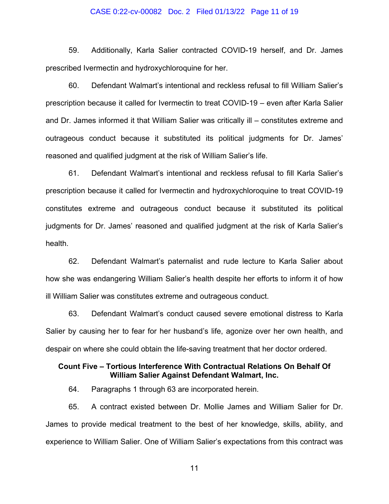#### CASE 0:22-cv-00082 Doc. 2 Filed 01/13/22 Page 11 of 19

59. Additionally, Karla Salier contracted COVID-19 herself, and Dr. James prescribed Ivermectin and hydroxychloroquine for her.

60. Defendant Walmart's intentional and reckless refusal to fill William Salier's prescription because it called for Ivermectin to treat COVID-19 – even after Karla Salier and Dr. James informed it that William Salier was critically ill – constitutes extreme and outrageous conduct because it substituted its political judgments for Dr. James' reasoned and qualified judgment at the risk of William Salier's life.

61. Defendant Walmart's intentional and reckless refusal to fill Karla Salier's prescription because it called for Ivermectin and hydroxychloroquine to treat COVID-19 constitutes extreme and outrageous conduct because it substituted its political judgments for Dr. James' reasoned and qualified judgment at the risk of Karla Salier's health.

62. Defendant Walmart's paternalist and rude lecture to Karla Salier about how she was endangering William Salier's health despite her efforts to inform it of how ill William Salier was constitutes extreme and outrageous conduct.

63. Defendant Walmart's conduct caused severe emotional distress to Karla Salier by causing her to fear for her husband's life, agonize over her own health, and despair on where she could obtain the life-saving treatment that her doctor ordered.

#### **Count Five – Tortious Interference With Contractual Relations On Behalf Of William Salier Against Defendant Walmart, Inc.**

64. Paragraphs 1 through 63 are incorporated herein.

65. A contract existed between Dr. Mollie James and William Salier for Dr. James to provide medical treatment to the best of her knowledge, skills, ability, and experience to William Salier. One of William Salier's expectations from this contract was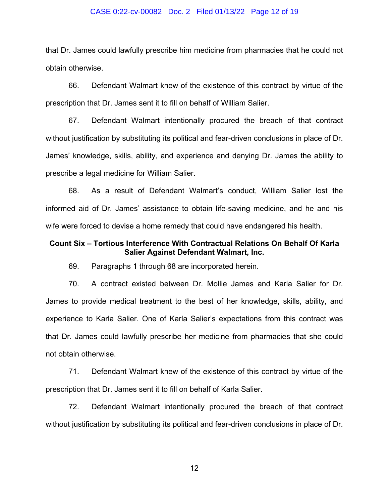#### CASE 0:22-cv-00082 Doc. 2 Filed 01/13/22 Page 12 of 19

that Dr. James could lawfully prescribe him medicine from pharmacies that he could not obtain otherwise.

66. Defendant Walmart knew of the existence of this contract by virtue of the prescription that Dr. James sent it to fill on behalf of William Salier.

67. Defendant Walmart intentionally procured the breach of that contract without justification by substituting its political and fear-driven conclusions in place of Dr. James' knowledge, skills, ability, and experience and denying Dr. James the ability to prescribe a legal medicine for William Salier.

68. As a result of Defendant Walmart's conduct, William Salier lost the informed aid of Dr. James' assistance to obtain life-saving medicine, and he and his wife were forced to devise a home remedy that could have endangered his health.

#### **Count Six – Tortious Interference With Contractual Relations On Behalf Of Karla Salier Against Defendant Walmart, Inc.**

69. Paragraphs 1 through 68 are incorporated herein.

70. A contract existed between Dr. Mollie James and Karla Salier for Dr. James to provide medical treatment to the best of her knowledge, skills, ability, and experience to Karla Salier. One of Karla Salier's expectations from this contract was that Dr. James could lawfully prescribe her medicine from pharmacies that she could not obtain otherwise.

71. Defendant Walmart knew of the existence of this contract by virtue of the prescription that Dr. James sent it to fill on behalf of Karla Salier.

72. Defendant Walmart intentionally procured the breach of that contract without justification by substituting its political and fear-driven conclusions in place of Dr.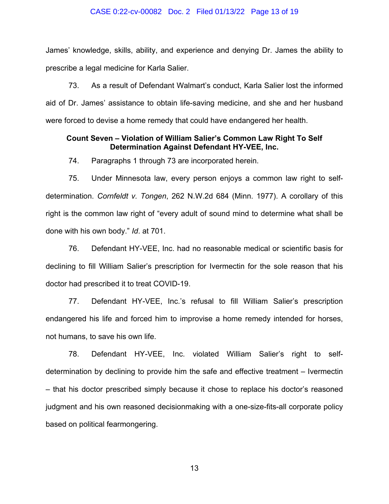#### CASE 0:22-cv-00082 Doc. 2 Filed 01/13/22 Page 13 of 19

James' knowledge, skills, ability, and experience and denying Dr. James the ability to prescribe a legal medicine for Karla Salier.

73. As a result of Defendant Walmart's conduct, Karla Salier lost the informed aid of Dr. James' assistance to obtain life-saving medicine, and she and her husband were forced to devise a home remedy that could have endangered her health.

#### **Count Seven – Violation of William Salier's Common Law Right To Self Determination Against Defendant HY-VEE, Inc.**

74. Paragraphs 1 through 73 are incorporated herein.

75. Under Minnesota law, every person enjoys a common law right to selfdetermination. *Cornfeldt v. Tongen*, 262 N.W.2d 684 (Minn. 1977). A corollary of this right is the common law right of "every adult of sound mind to determine what shall be done with his own body." *Id*. at 701.

76. Defendant HY-VEE, Inc. had no reasonable medical or scientific basis for declining to fill William Salier's prescription for Ivermectin for the sole reason that his doctor had prescribed it to treat COVID-19.

77. Defendant HY-VEE, Inc.'s refusal to fill William Salier's prescription endangered his life and forced him to improvise a home remedy intended for horses, not humans, to save his own life.

78. Defendant HY-VEE, Inc. violated William Salier's right to selfdetermination by declining to provide him the safe and effective treatment – Ivermectin – that his doctor prescribed simply because it chose to replace his doctor's reasoned judgment and his own reasoned decisionmaking with a one-size-fits-all corporate policy based on political fearmongering.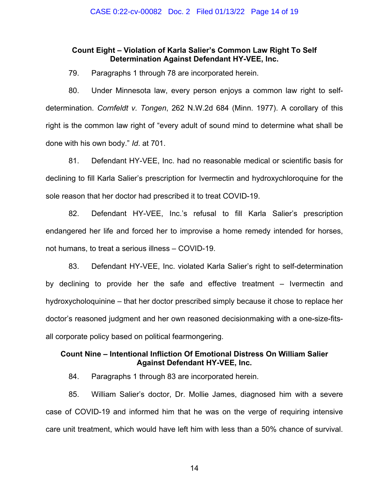#### **Count Eight – Violation of Karla Salier's Common Law Right To Self Determination Against Defendant HY-VEE, Inc.**

79. Paragraphs 1 through 78 are incorporated herein.

80. Under Minnesota law, every person enjoys a common law right to selfdetermination. *Cornfeldt v. Tongen*, 262 N.W.2d 684 (Minn. 1977). A corollary of this right is the common law right of "every adult of sound mind to determine what shall be done with his own body." *Id*. at 701.

81. Defendant HY-VEE, Inc. had no reasonable medical or scientific basis for declining to fill Karla Salier's prescription for Ivermectin and hydroxychloroquine for the sole reason that her doctor had prescribed it to treat COVID-19.

82. Defendant HY-VEE, Inc.'s refusal to fill Karla Salier's prescription endangered her life and forced her to improvise a home remedy intended for horses, not humans, to treat a serious illness – COVID-19.

83. Defendant HY-VEE, Inc. violated Karla Salier's right to self-determination by declining to provide her the safe and effective treatment – Ivermectin and hydroxycholoquinine – that her doctor prescribed simply because it chose to replace her doctor's reasoned judgment and her own reasoned decisionmaking with a one-size-fitsall corporate policy based on political fearmongering.

#### **Count Nine – Intentional Infliction Of Emotional Distress On William Salier Against Defendant HY-VEE, Inc.**

84. Paragraphs 1 through 83 are incorporated herein.

85. William Salier's doctor, Dr. Mollie James, diagnosed him with a severe case of COVID-19 and informed him that he was on the verge of requiring intensive care unit treatment, which would have left him with less than a 50% chance of survival.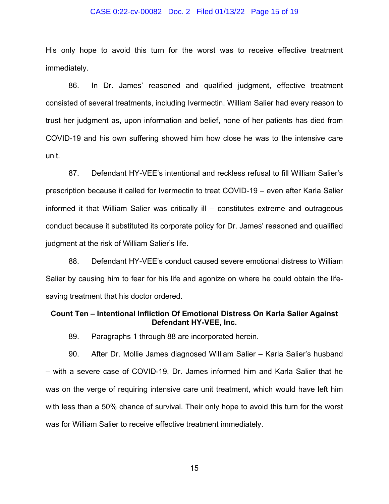#### CASE 0:22-cv-00082 Doc. 2 Filed 01/13/22 Page 15 of 19

His only hope to avoid this turn for the worst was to receive effective treatment immediately.

86. In Dr. James' reasoned and qualified judgment, effective treatment consisted of several treatments, including Ivermectin. William Salier had every reason to trust her judgment as, upon information and belief, none of her patients has died from COVID-19 and his own suffering showed him how close he was to the intensive care unit.

87. Defendant HY-VEE's intentional and reckless refusal to fill William Salier's prescription because it called for Ivermectin to treat COVID-19 – even after Karla Salier informed it that William Salier was critically ill – constitutes extreme and outrageous conduct because it substituted its corporate policy for Dr. James' reasoned and qualified judgment at the risk of William Salier's life.

88. Defendant HY-VEE's conduct caused severe emotional distress to William Salier by causing him to fear for his life and agonize on where he could obtain the lifesaving treatment that his doctor ordered.

#### **Count Ten – Intentional Infliction Of Emotional Distress On Karla Salier Against Defendant HY-VEE, Inc.**

89. Paragraphs 1 through 88 are incorporated herein.

90. After Dr. Mollie James diagnosed William Salier – Karla Salier's husband – with a severe case of COVID-19, Dr. James informed him and Karla Salier that he was on the verge of requiring intensive care unit treatment, which would have left him with less than a 50% chance of survival. Their only hope to avoid this turn for the worst was for William Salier to receive effective treatment immediately.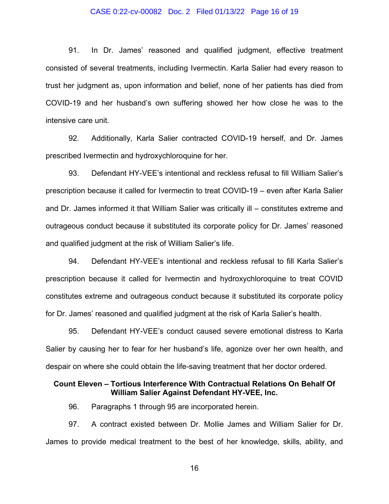#### CASE 0:22-cv-00082 Doc. 2 Filed 01/13/22 Page 16 of 19

91. In Dr. James' reasoned and qualified judgment, effective treatment consisted of several treatments, including Ivermectin. Karla Salier had every reason to trust her judgment as, upon information and belief, none of her patients has died from COVID-19 and her husband's own suffering showed her how close he was to the intensive care unit.

92. Additionally, Karla Salier contracted COVID-19 herself, and Dr. James prescribed Ivermectin and hydroxychloroquine for her.

93. Defendant HY-VEE's intentional and reckless refusal to fill William Salier's prescription because it called for Ivermectin to treat COVID-19 – even after Karla Salier and Dr. James informed it that William Salier was critically ill – constitutes extreme and outrageous conduct because it substituted its corporate policy for Dr. James' reasoned and qualified judgment at the risk of William Salier's life.

94. Defendant HY-VEE's intentional and reckless refusal to fill Karla Salier's prescription because it called for Ivermectin and hydroxychloroquine to treat COVID constitutes extreme and outrageous conduct because it substituted its corporate policy for Dr. James' reasoned and qualified judgment at the risk of Karla Salier's health.

95. Defendant HY-VEE's conduct caused severe emotional distress to Karla Salier by causing her to fear for her husband's life, agonize over her own health, and despair on where she could obtain the life-saving treatment that her doctor ordered.

#### **Count Eleven – Tortious Interference With Contractual Relations On Behalf Of William Salier Against Defendant HY-VEE, Inc.**

96. Paragraphs 1 through 95 are incorporated herein.

97. A contract existed between Dr. Mollie James and William Salier for Dr. James to provide medical treatment to the best of her knowledge, skills, ability, and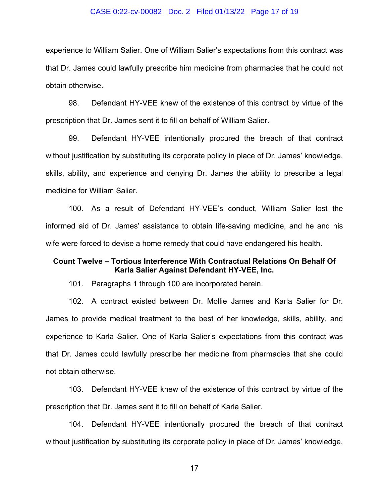#### CASE 0:22-cv-00082 Doc. 2 Filed 01/13/22 Page 17 of 19

experience to William Salier. One of William Salier's expectations from this contract was that Dr. James could lawfully prescribe him medicine from pharmacies that he could not obtain otherwise.

98. Defendant HY-VEE knew of the existence of this contract by virtue of the prescription that Dr. James sent it to fill on behalf of William Salier.

99. Defendant HY-VEE intentionally procured the breach of that contract without justification by substituting its corporate policy in place of Dr. James' knowledge, skills, ability, and experience and denying Dr. James the ability to prescribe a legal medicine for William Salier.

100. As a result of Defendant HY-VEE's conduct, William Salier lost the informed aid of Dr. James' assistance to obtain life-saving medicine, and he and his wife were forced to devise a home remedy that could have endangered his health.

#### **Count Twelve – Tortious Interference With Contractual Relations On Behalf Of Karla Salier Against Defendant HY-VEE, Inc.**

101. Paragraphs 1 through 100 are incorporated herein.

102. A contract existed between Dr. Mollie James and Karla Salier for Dr. James to provide medical treatment to the best of her knowledge, skills, ability, and experience to Karla Salier. One of Karla Salier's expectations from this contract was that Dr. James could lawfully prescribe her medicine from pharmacies that she could not obtain otherwise.

103. Defendant HY-VEE knew of the existence of this contract by virtue of the prescription that Dr. James sent it to fill on behalf of Karla Salier.

104. Defendant HY-VEE intentionally procured the breach of that contract without justification by substituting its corporate policy in place of Dr. James' knowledge,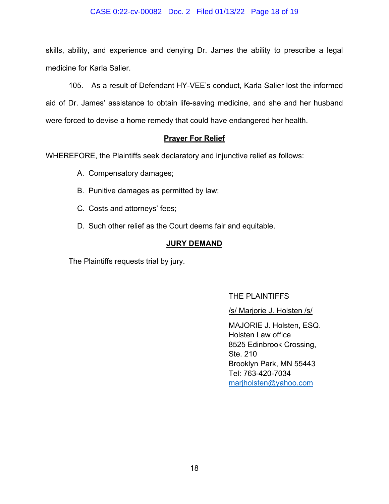#### CASE 0:22-cv-00082 Doc. 2 Filed 01/13/22 Page 18 of 19

skills, ability, and experience and denying Dr. James the ability to prescribe a legal medicine for Karla Salier.

105. As a result of Defendant HY-VEE's conduct, Karla Salier lost the informed aid of Dr. James' assistance to obtain life-saving medicine, and she and her husband were forced to devise a home remedy that could have endangered her health.

#### **Prayer For Relief**

WHEREFORE, the Plaintiffs seek declaratory and injunctive relief as follows:

- A. Compensatory damages;
- B. Punitive damages as permitted by law;
- C. Costs and attorneys' fees;
- D. Such other relief as the Court deems fair and equitable.

#### **JURY DEMAND**

The Plaintiffs requests trial by jury.

#### THE PLAINTIFFS

/s/ Marjorie J. Holsten /s/

MAJORIE J. Holsten, ESQ. Holsten Law office 8525 Edinbrook Crossing, Ste. 210 Brooklyn Park, MN 55443 Tel: 763-420-7034 [marjholsten@yahoo.com](mailto:marjholsten@yahoo.com)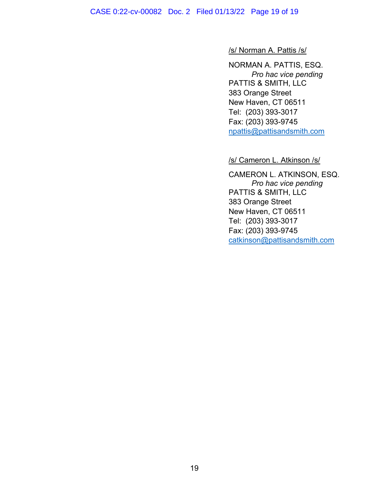CASE 0:22-cv-00082 Doc. 2 Filed 01/13/22 Page 19 of 19

#### /s/ Norman A. Pattis /s/

NORMAN A. PATTIS, ESQ. *Pro hac vice pending* PATTIS & SMITH, LLC 383 Orange Street New Haven, CT 06511 Tel: (203) 393-3017 Fax: (203) 393-9745 [npattis@pattisandsmith.com](mailto:npattis@pattisandsmith.com)

/s/ Cameron L. Atkinson /s/

CAMERON L. ATKINSON, ESQ. *Pro hac vice pending* PATTIS & SMITH, LLC 383 Orange Street New Haven, CT 06511 Tel: (203) 393-3017 Fax: (203) 393-9745 [catkinson@pattisandsmith.com](mailto:catkinson@pattisandsmith.com)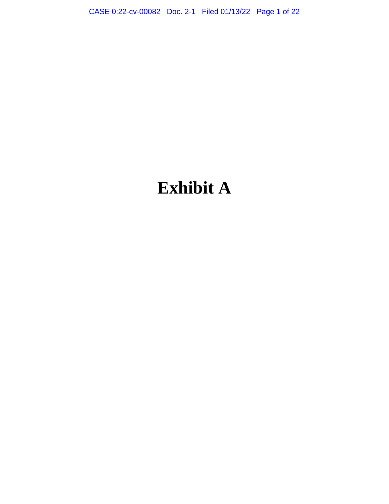CASE 0:22-cv-00082 Doc. 2-1 Filed 01/13/22 Page 1 of 22

# **Exhibit A**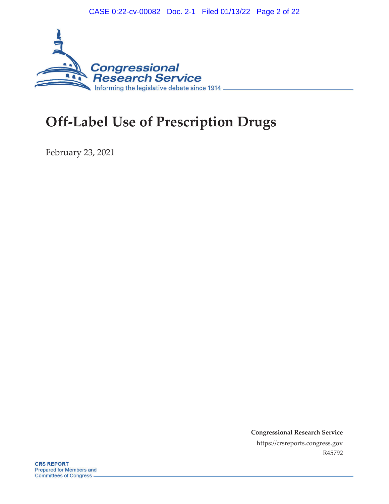CASE 0:22-cv-00082 Doc. 2-1 Filed 01/13/22 Page 2 of 22



## **Off-Label Use of Prescription Drugs**

February 23, 2021

**Congressional Research Service** https://crsreports.congress.gov R45792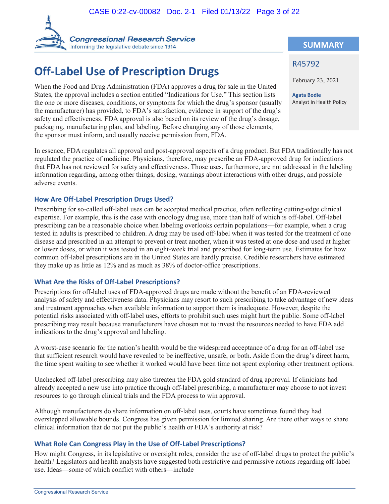

## **Off-Label Use of Prescription Drugs**

When the Food and Drug Administration (FDA) approves a drug for sale in the United States, the approval includes a section entitled "Indications for Use." This section lists the one or more diseases, conditions, or symptoms for which the drug's sponsor (usually the manufacturer) has provided, to FDA's satisfaction, evidence in support of the drug's safety and effectiveness. FDA approval is also based on its review of the drug's dosage, packaging, manufacturing plan, and labeling. Before changing any of those elements, the sponsor must inform, and usually receive permission from, FDA.

In essence, FDA regulates all approval and post-approval aspects of a drug product. But FDA traditionally has not regulated the practice of medicine. Physicians, therefore, may prescribe an FDA-approved drug for indications that FDA has not reviewed for safety and effectiveness. Those uses, furthermore, are not addressed in the labeling information regarding, among other things, dosing, warnings about interactions with other drugs, and possible adverse events.

#### **How Are Off-Label Prescription Drugs Used?**

Prescribing for so-called off-label uses can be accepted medical practice, often reflecting cutting-edge clinical expertise. For example, this is the case with oncology drug use, more than half of which is off-label. Off-label prescribing can be a reasonable choice when labeling overlooks certain populations—for example, when a drug tested in adults is prescribed to children. A drug may be used off-label when it was tested for the treatment of one disease and prescribed in an attempt to prevent or treat another, when it was tested at one dose and used at higher or lower doses, or when it was tested in an eight-week trial and prescribed for long-term use. Estimates for how common off-label prescriptions are in the United States are hardly precise. Credible researchers have estimated they make up as little as 12% and as much as 38% of doctor-office prescriptions.

#### **What Are the Risks of Off-Label Prescriptions?**

Prescriptions for off-label uses of FDA-approved drugs are made without the benefit of an FDA-reviewed analysis of safety and effectiveness data. Physicians may resort to such prescribing to take advantage of new ideas and treatment approaches when available information to support them is inadequate. However, despite the potential risks associated with off-label uses, efforts to prohibit such uses might hurt the public. Some off-label prescribing may result because manufacturers have chosen not to invest the resources needed to have FDA add indications to the drug's approval and labeling.

A worst-case scenario for the nation's health would be the widespread acceptance of a drug for an off-label use that sufficient research would have revealed to be ineffective, unsafe, or both. Aside from the drug's direct harm, the time spent waiting to see whether it worked would have been time not spent exploring other treatment options.

Unchecked off-label prescribing may also threaten the FDA gold standard of drug approval. If clinicians had already accepted a new use into practice through off-label prescribing, a manufacturer may choose to not invest resources to go through clinical trials and the FDA process to win approval.

Although manufacturers do share information on off-label uses, courts have sometimes found they had overstepped allowable bounds. Congress has given permission for limited sharing. Are there other ways to share clinical information that do not put the public's health or FDA's authority at risk?

#### **What Role Can Congress Play in the Use of Off-Label Prescriptions?**

How might Congress, in its legislative or oversight roles, consider the use of off-label drugs to protect the public's health? Legislators and health analysts have suggested both restrictive and permissive actions regarding off-label use. Ideas—some of which conflict with others—include

#### **SUMMARY**

#### R45792

February 23, 2021

**Agata Bodie** Analyst in Health Policy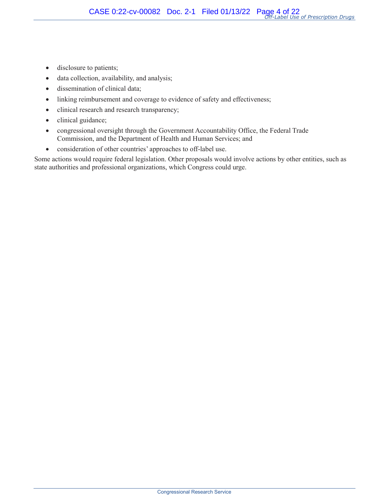- disclosure to patients;
- data collection, availability, and analysis;
- dissemination of clinical data;
- linking reimbursement and coverage to evidence of safety and effectiveness;
- clinical research and research transparency;
- clinical guidance;
- congressional oversight through the Government Accountability Office, the Federal Trade Commission, and the Department of Health and Human Services; and
- consideration of other countries' approaches to off-label use.

Some actions would require federal legislation. Other proposals would involve actions by other entities, such as state authorities and professional organizations, which Congress could urge.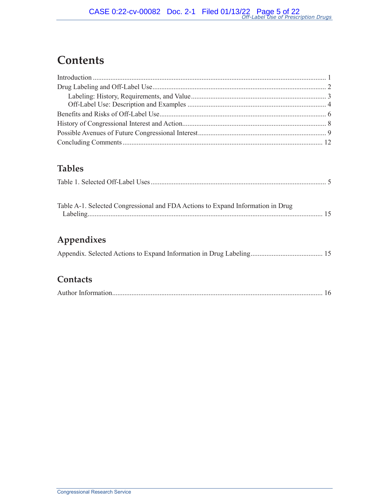## **Contents**

### **Tables**

| Table A-1. Selected Congressional and FDA Actions to Expand Information in Drug |  |
|---------------------------------------------------------------------------------|--|
| Appendixes                                                                      |  |

|--|--|--|--|

### **Contacts**

|--|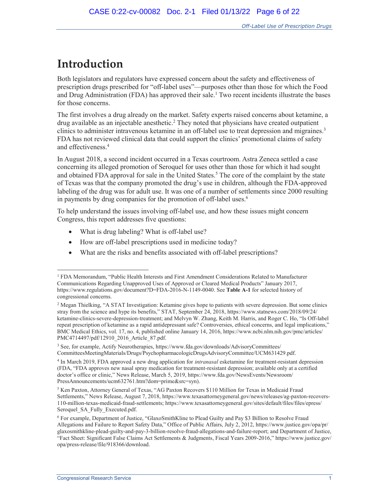## **Introduction**

 $\overline{a}$ 

Both legislators and regulators have expressed concern about the safety and effectiveness of prescription drugs prescribed for "off-label uses"—purposes other than those for which the Food and Drug Administration (FDA) has approved their sale.<sup>1</sup> Two recent incidents illustrate the bases for those concerns.

The first involves a drug already on the market. Safety experts raised concerns about ketamine, a drug available as an injectable anesthetic.<sup>2</sup> They noted that physicians have created outpatient clinics to administer intravenous ketamine in an off-label use to treat depression and migraines.<sup>3</sup> FDA has not reviewed clinical data that could support the clinics' promotional claims of safety and effectiveness.<sup>4</sup>

In August 2018, a second incident occurred in a Texas courtroom. Astra Zeneca settled a case concerning its alleged promotion of Seroquel for uses other than those for which it had sought and obtained FDA approval for sale in the United States.<sup>5</sup> The core of the complaint by the state of Texas was that the company promoted the drug's use in children, although the FDA-approved labeling of the drug was for adult use. It was one of a number of settlements since 2000 resulting in payments by drug companies for the promotion of off-label uses.<sup>6</sup>

To help understand the issues involving off-label use, and how these issues might concern Congress, this report addresses five questions:

- What is drug labeling? What is off-label use?
- How are off-label prescriptions used in medicine today?
- What are the risks and benefits associated with off-label prescriptions?

<sup>1</sup> FDA Memorandum, "Public Health Interests and First Amendment Considerations Related to Manufacturer Communications Regarding Unapproved Uses of Approved or Cleared Medical Products" January 2017, https://www.regulations.gov/document?D=FDA-2016-N-1149-0040. See **Table A-1** for selected history of congressional concerns.

<sup>&</sup>lt;sup>2</sup> Megan Thielking, "A STAT Investigation: Ketamine gives hope to patients with severe depression. But some clinics stray from the science and hype its benefits," STAT, September 24, 2018, https://www.statnews.com/2018/09/24/ ketamine-clinics-severe-depression-treatment; and Melvyn W. Zhang, Keith M. Harris, and Roger C. Ho, "Is Off-label repeat prescription of ketamine as a rapid antidepressant safe? Controversies, ethical concerns, and legal implications," BMC Medical Ethics, vol. 17, no. 4, published online January 14, 2016, https://www.ncbi.nlm.nih.gov/pmc/articles/ PMC4714497/pdf/12910\_2016\_Article\_87.pdf.

<sup>3</sup> See, for example, Actify Neurotherapies, https://www.fda.gov/downloads/AdvisoryCommittees/ CommitteesMeetingMaterials/Drugs/PsychopharmacologicDrugsAdvisoryCommittee/UCM631429.pdf.

<sup>4</sup> In March 2019, FDA approved a new drug application for *intranasal* esketamine for treatment-resistant depression (FDA, "FDA approves new nasal spray medication for treatment-resistant depression; available only at a certified doctor's office or clinic," News Release, March 5, 2019, https://www.fda.gov/NewsEvents/Newsroom/ PressAnnouncements/ucm632761.htm?dom=prime&src=syn).

<sup>5</sup> Ken Paxton, Attorney General of Texas, "AG Paxton Recovers \$110 Million for Texas in Medicaid Fraud Settlements," News Release, August 7, 2018, https://www.texasattorneygeneral.gov/news/releases/ag-paxton-recovers-110-million-texas-medicaid-fraud-settlements; https://www.texasattorneygeneral.gov/sites/default/files/files/epress/ Seroquel SA Fully Executed.pdf.

<sup>6</sup> For example, Department of Justice, "GlaxoSmithKline to Plead Guilty and Pay \$3 Billion to Resolve Fraud Allegations and Failure to Report Safety Data," Office of Public Affairs, July 2, 2012, https://www.justice.gov/opa/pr/ glaxosmithkline-plead-guilty-and-pay-3-billion-resolve-fraud-allegations-and-failure-report; and Department of Justice, "Fact Sheet: Significant False Claims Act Settlements & Judgments, Fiscal Years 2009-2016," https://www.justice.gov/ opa/press-release/file/918366/download.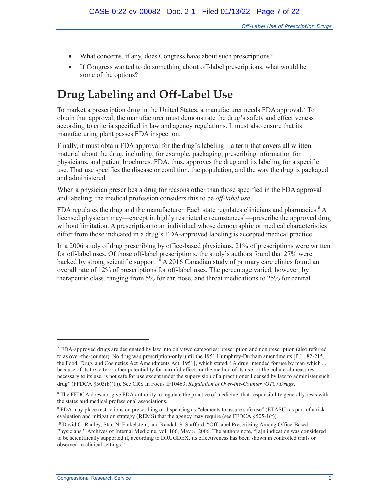- What concerns, if any, does Congress have about such prescriptions?
- If Congress wanted to do something about off-label prescriptions, what would be some of the options?

## **Drug Labeling and Off-Label Use**

To market a prescription drug in the United States, a manufacturer needs FDA approval.<sup>7</sup> To obtain that approval, the manufacturer must demonstrate the drug's safety and effectiveness according to criteria specified in law and agency regulations. It must also ensure that its manufacturing plant passes FDA inspection.

Finally, it must obtain FDA approval for the drug's labeling—a term that covers all written material about the drug, including, for example, packaging, prescribing information for physicians, and patient brochures. FDA, thus, approves the drug and its labeling for a specific use. That use specifies the disease or condition, the population, and the way the drug is packaged and administered.

When a physician prescribes a drug for reasons other than those specified in the FDA approval and labeling, the medical profession considers this to be *off-label use*.

FDA regulates the drug and the manufacturer. Each state regulates clinicians and pharmacies.<sup>8</sup> A licensed physician may—except in highly restricted circumstances<sup>9</sup>—prescribe the approved drug without limitation. A prescription to an individual whose demographic or medical characteristics differ from those indicated in a drug's FDA-approved labeling is accepted medical practice.

In a 2006 study of drug prescribing by office-based physicians, 21% of prescriptions were written for off-label uses. Of those off-label prescriptions, the study's authors found that 27% were backed by strong scientific support.<sup>10</sup> A 2016 Canadian study of primary care clinics found an overall rate of 12% of prescriptions for off-label uses. The percentage varied, however, by therapeutic class, ranging from 5% for ear, nose, and throat medications to 25% for central

 $7$  FDA-approved drugs are designated by law into only two categories: prescription and nonprescription (also referred to as over-the-counter). No drug was prescription-only until the 1951 Humphrey-Durham amendments [P.L. 82-215, the Food, Drug, and Cosmetics Act Amendments Act, 1951], which stated, "A drug intended for use by man which ... because of its toxicity or other potentiality for harmful effect, or the method of its use, or the collateral measures necessary to its use, is not safe for use except under the supervision of a practitioner licensed by law to administer such drug" (FFDCA §503(b)(1)). See CRS In Focus IF10463, *Regulation of Over-the-Counter (OTC) Drugs*.

<sup>&</sup>lt;sup>8</sup> The FFDCA does not give FDA authority to regulate the practice of medicine; that responsibility generally rests with the states and medical professional associations.

<sup>9</sup> FDA may place restrictions on prescribing or dispensing as "elements to assure safe use" (ETASU) as part of a risk evaluation and mitigation strategy (REMS) that the agency may require (see FFDCA §505-1(f)).

<sup>10</sup> David C. Radley, Stan N. Finkelstein, and Randall S. Stafford, "Off-label Prescribing Among Office-Based Physicians," Archives of Internal Medicine, vol. 166, May 8, 2006. The authors note, "[a]n indication was considered to be scientifically supported if, according to DRUGDEX, its effectiveness has been shown in controlled trials or observed in clinical settings."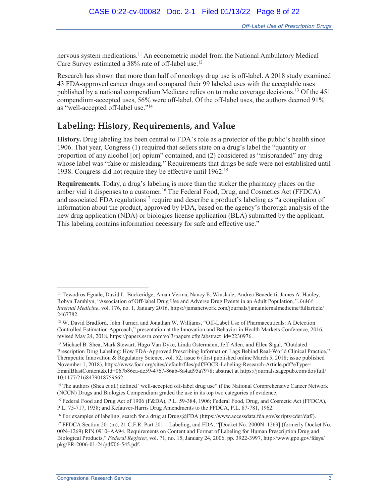nervous system medications.<sup>11</sup> An econometric model from the National Ambulatory Medical Care Survey estimated a 38% rate of off-label use.<sup>12</sup>

Research has shown that more than half of oncology drug use is off-label. A 2018 study examined 43 FDA-approved cancer drugs and compared their 99 labeled uses with the acceptable uses published by a national compendium Medicare relies on to make coverage decisions.<sup>13</sup> Of the 451 compendium-accepted uses, 56% were off-label. Of the off-label uses, the authors deemed 91% as "well-accepted off-label use."<sup>14</sup>

### **Labeling: History, Requirements, and Value**

**History.** Drug labeling has been central to FDA's role as a protector of the public's health since 1906. That year, Congress (1) required that sellers state on a drug's label the "quantity or proportion of any alcohol [or] opium" contained, and (2) considered as "misbranded" any drug whose label was "false or misleading." Requirements that drugs be safe were not established until 1938. Congress did not require they be effective until 1962.<sup>15</sup>

**Requirements.** Today, a drug's labeling is more than the sticker the pharmacy places on the amber vial it dispenses to a customer.<sup>16</sup> The Federal Food, Drug, and Cosmetics Act (FFDCA) and associated FDA regulations<sup>17</sup> require and describe a product's labeling as "a compilation of information about the product, approved by FDA, based on the agency's thorough analysis of the new drug application (NDA) or biologics license application (BLA) submitted by the applicant. This labeling contains information necessary for safe and effective use."

<sup>&</sup>lt;sup>11</sup> Tewodros Eguale, David L. Buckeridge, Aman Verma, Nancy E. Winslade, Andrea Benedetti, James A. Hanley, Robyn Tamblyn, "Association of Off-label Drug Use and Adverse Drug Events in an Adult Population*," JAMA Internal Medicine*, vol. 176, no. 1, January 2016, https://jamanetwork.com/journals/jamainternalmedicine/fullarticle/ 2467782.

<sup>12</sup> W. David Bradford, John Turner, and Jonathan W. Williams, "Off-Label Use of Pharmaceuticals: A Detection Controlled Estimation Approach," presentation at the Innovation and Behavior in Health Markets Conference, 2016, revised May 24, 2018, https://papers.ssrn.com/sol3/papers.cfm?abstract\_id=2230976.

<sup>13</sup> Michael B. Shea, Mark Stewart, Hugo Van Dyke, Linda Ostermann, Jeff Allen, and Ellen Sigal, "Outdated Prescription Drug Labeling: How FDA-Approved Prescribing Information Lags Behind Real-World Clinical Practice," Therapeutic Innovation & Regulatory Science, vol. 52, issue 6 (first published online March 5, 2018; issue published November 1, 2018), https://www.focr.org/sites/default/files/pdf/FOCR-Labeling-Research-Article.pdf?eType= EmailBlastContent&eId=067b86ca-de59-4767-86ab-8a4ad95a7978; abstract at https://journals.sagepub.com/doi/full/ 10.1177/2168479018759662.

<sup>&</sup>lt;sup>14</sup> The authors (Shea et al.) defined "well-accepted off-label drug use" if the National Comprehensive Cancer Network (NCCN) Drugs and Biologics Compendium graded the use in its top two categories of evidence.

<sup>15</sup> Federal Food and Drug Act of 1906 (F&DA), P.L. 59-384, 1906; Federal Food, Drug, and Cosmetic Act (FFDCA), P.L. 75-717, 1938; and Kefauver-Harris Drug Amendments to the FFDCA, P.L. 87-781, 1962.

<sup>&</sup>lt;sup>16</sup> For examples of labeling, search for a drug at Drugs@FDA (https://www.accessdata.fda.gov/scripts/cder/daf/).

<sup>17</sup> FFDCA Section 201(m), 21 C.F.R. Part 201—Labeling, and FDA, "[Docket No. 2000N–1269] (formerly Docket No. 00N–1269) RIN 0910–AA94, Requirements on Content and Format of Labeling for Human Prescription Drug and Biological Products," *Federal Register*, vol. 71, no. 15, January 24, 2006, pp. 3922-3997, http://www.gpo.gov/fdsys/ pkg/FR-2006-01-24/pdf/06-545.pdf.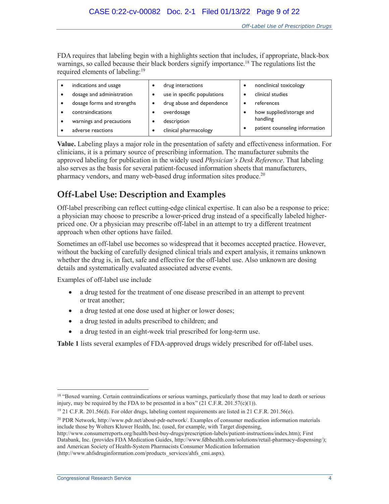FDA requires that labeling begin with a highlights section that includes, if appropriate, black-box warnings, so called because their black borders signify importance.<sup>18</sup> The regulations list the required elements of labeling:<sup>19</sup>

| indications and usage      | drug interactions           | ٠ | nonclinical toxicology         |
|----------------------------|-----------------------------|---|--------------------------------|
| dosage and administration  | use in specific populations |   | clinical studies               |
| dosage forms and strengths | drug abuse and dependence   |   | references                     |
| contraindications          | overdosage                  |   | how supplied/storage and       |
| warnings and precautions   | description                 |   | handling                       |
| adverse reactions          | clinical pharmacology       |   | patient counseling information |

**Value.** Labeling plays a major role in the presentation of safety and effectiveness information. For clinicians, it is a primary source of prescribing information. The manufacturer submits the approved labeling for publication in the widely used *Physician's Desk Reference*. That labeling also serves as the basis for several patient-focused information sheets that manufacturers, pharmacy vendors, and many web-based drug information sites produce.<sup>20</sup>

### **Off-Label Use: Description and Examples**

Off-label prescribing can reflect cutting-edge clinical expertise. It can also be a response to price: a physician may choose to prescribe a lower-priced drug instead of a specifically labeled higherpriced one. Or a physician may prescribe off-label in an attempt to try a different treatment approach when other options have failed.

Sometimes an off-label use becomes so widespread that it becomes accepted practice. However, without the backing of carefully designed clinical trials and expert analysis, it remains unknown whether the drug is, in fact, safe and effective for the off-label use. Also unknown are dosing details and systematically evaluated associated adverse events.

Examples of off-label use include

- a drug tested for the treatment of one disease prescribed in an attempt to prevent or treat another;
- a drug tested at one dose used at higher or lower doses;
- a drug tested in adults prescribed to children; and
- a drug tested in an eight-week trial prescribed for long-term use.

**Table 1** lists several examples of FDA-approved drugs widely prescribed for off-label uses.

<sup>&</sup>lt;sup>18</sup> "Boxed warning. Certain contraindications or serious warnings, particularly those that may lead to death or serious injury, may be required by the FDA to be presented in a box"  $(21 \text{ C.F.R. } 201.57(c)(1)).$ 

<sup>19 21</sup> C.F.R. 201.56(d). For older drugs, labeling content requirements are listed in 21 C.F.R. 201.56(e).

<sup>20</sup> PDR Network, http://www.pdr.net/about-pdr-network/. Examples of consumer medication information materials include those by Wolters Kluwer Health, Inc. (used, for example, with Target dispensing,

http://www.consumerreports.org/health/best-buy-drugs/prescription-labels/patient-instructions/index.htm); First Databank, Inc. (provides FDA Medication Guides, http://www.fdbhealth.com/solutions/retail-pharmacy-dispensing/); and American Society of Health-System Pharmacists Consumer Medication Information (http://www.ahfsdruginformation.com/products\_services/ahfs\_cmi.aspx).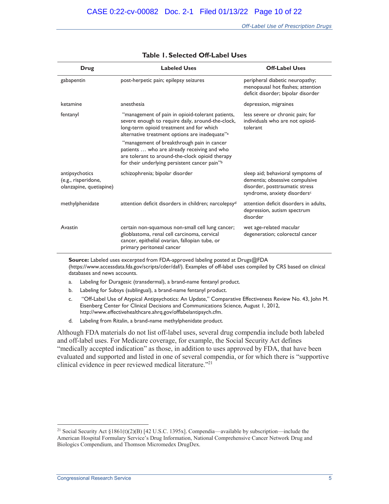| Drug                                                                                | <b>Labeled Uses</b>                                                                                                                                                                                             | <b>Off-Label Uses</b>                                                                                                                 |  |
|-------------------------------------------------------------------------------------|-----------------------------------------------------------------------------------------------------------------------------------------------------------------------------------------------------------------|---------------------------------------------------------------------------------------------------------------------------------------|--|
| gabapentin                                                                          | post-herpetic pain; epilepsy seizures                                                                                                                                                                           | peripheral diabetic neuropathy;<br>menopausal hot flashes; attention<br>deficit disorder; bipolar disorder                            |  |
| ketamine                                                                            | anesthesia                                                                                                                                                                                                      | depression, migraines                                                                                                                 |  |
| fentanyl                                                                            | "management of pain in opioid-tolerant patients,<br>severe enough to require daily, around-the-clock,<br>long-term opioid treatment and for which<br>alternative treatment options are inadequate" <sup>a</sup> | less severe or chronic pain; for<br>individuals who are not opioid-<br>tolerant                                                       |  |
|                                                                                     | "management of breakthrough pain in cancer<br>patients  who are already receiving and who<br>are tolerant to around-the-clock opioid therapy<br>for their underlying persistent cancer pain"b                   |                                                                                                                                       |  |
| antipsychotics<br>(e.g., risperidone,<br>olanzapine, quetiapine)                    | schizophrenia; bipolar disorder                                                                                                                                                                                 | sleep aid; behavioral symptoms of<br>dementia; obsessive compulsive<br>disorder, posttraumatic stress<br>syndrome, anxiety disordersc |  |
| methylphenidate<br>attention deficit disorders in children; narcolepsy <sup>d</sup> |                                                                                                                                                                                                                 | attention deficit disorders in adults,<br>depression, autism spectrum<br>disorder                                                     |  |
| Avastin                                                                             | certain non-squamous non-small cell lung cancer;<br>glioblastoma, renal cell carcinoma, cervical<br>cancer, epithelial ovarian, fallopian tube, or<br>primary peritoneal cancer                                 | wet age-related macular<br>degeneration; colorectal cancer                                                                            |  |

#### **Table 1. Selected Off-Label Uses**

**Source:** Labeled uses excerpted from FDA-approved labeling posted at Drugs@FDA (https://www.accessdata.fda.gov/scripts/cder/daf/). Examples of off-label uses compiled by CRS based on clinical databases and news accounts.

- a. Labeling for Duragesic (transdermal), a brand-name fentanyl product.
- b. Labeling for Subsys (sublingual), a brand-name fentanyl product.
- c. "Off-Label Use of Atypical Antipsychotics: An Update," Comparative Effectiveness Review No. 43, John M. Eisenberg Center for Clinical Decisions and Communications Science, August 1, 2012, http://www.effectivehealthcare.ahrq.gov/offlabelantipsych.cfm.
- d. Labeling from Ritalin, a brand-name methylphenidate product.

Although FDA materials do not list off-label uses, several drug compendia include both labeled and off-label uses. For Medicare coverage, for example, the Social Security Act defines "medically accepted indication" as those, in addition to uses approved by FDA, that have been evaluated and supported and listed in one of several compendia, or for which there is "supportive clinical evidence in peer reviewed medical literature."<sup>21</sup>

<sup>&</sup>lt;sup>21</sup> Social Security Act  $\S 1861(t)(2)(B)$  [42 U.S.C. 1395x]. Compendia—available by subscription—include the American Hospital Formulary Service's Drug Information, National Comprehensive Cancer Network Drug and Biologics Compendium, and Thomson Micromedex DrugDex.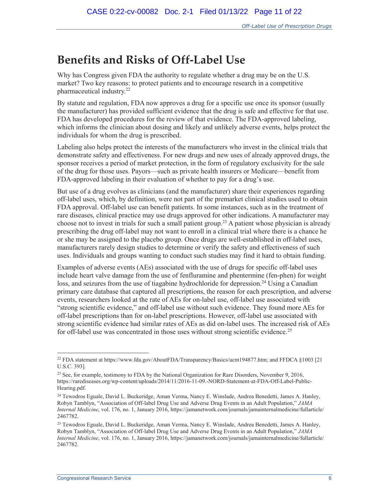## **Benefits and Risks of Off-Label Use**

Why has Congress given FDA the authority to regulate whether a drug may be on the U.S. market? Two key reasons: to protect patients and to encourage research in a competitive pharmaceutical industry.<sup>22</sup>

By statute and regulation, FDA now approves a drug for a specific use once its sponsor (usually the manufacturer) has provided sufficient evidence that the drug is safe and effective for that use. FDA has developed procedures for the review of that evidence. The FDA-approved labeling, which informs the clinician about dosing and likely and unlikely adverse events, helps protect the individuals for whom the drug is prescribed.

Labeling also helps protect the interests of the manufacturers who invest in the clinical trials that demonstrate safety and effectiveness. For new drugs and new uses of already approved drugs, the sponsor receives a period of market protection, in the form of regulatory exclusivity for the sale of the drug for those uses. Payors—such as private health insurers or Medicare—benefit from FDA-approved labeling in their evaluation of whether to pay for a drug's use.

But use of a drug evolves as clinicians (and the manufacturer) share their experiences regarding off-label uses, which, by definition, were not part of the premarket clinical studies used to obtain FDA approval. Off-label use can benefit patients. In some instances, such as in the treatment of rare diseases, clinical practice may use drugs approved for other indications. A manufacturer may choose not to invest in trials for such a small patient group.<sup>23</sup> A patient whose physician is already prescribing the drug off-label may not want to enroll in a clinical trial where there is a chance he or she may be assigned to the placebo group. Once drugs are well-established in off-label uses, manufacturers rarely design studies to determine or verify the safety and effectiveness of such uses. Individuals and groups wanting to conduct such studies may find it hard to obtain funding.

Examples of adverse events (AEs) associated with the use of drugs for specific off-label uses include heart valve damage from the use of fenfluramine and phentermine (fen-phen) for weight loss, and seizures from the use of tiagabine hydrochloride for depression.<sup>24</sup> Using a Canadian primary care database that captured all prescriptions, the reason for each prescription, and adverse events, researchers looked at the rate of AEs for on-label use, off-label use associated with "strong scientific evidence," and off-label use without such evidence. They found more AEs for off-label prescriptions than for on-label prescriptions. However, off-label use associated with strong scientific evidence had similar rates of AEs as did on-label uses. The increased risk of AEs for off-label use was concentrated in those uses without strong scientific evidence.<sup>25</sup>

 $\overline{a}$ 22 FDA statement at https://www.fda.gov/AboutFDA/Transparency/Basics/ucm194877.htm; and FFDCA §1003 [21 U.S.C. 393].

<sup>&</sup>lt;sup>23</sup> See, for example, testimony to FDA by the National Organization for Rare Disorders, November 9, 2016, https://rarediseases.org/wp-content/uploads/2014/11/2016-11-09.-NORD-Statement-at-FDA-Off-Label-Public-Hearing.pdf.

<sup>24</sup> Tewodros Eguale, David L. Buckeridge, Aman Verma, Nancy E. Winslade, Andrea Benedetti, James A. Hanley, Robyn Tamblyn, "Association of Off-label Drug Use and Adverse Drug Events in an Adult Population," *JAMA Internal Medicine*, vol. 176, no. 1, January 2016, https://jamanetwork.com/journals/jamainternalmedicine/fullarticle/ 2467782.

<sup>25</sup> Tewodros Eguale, David L. Buckeridge, Aman Verma, Nancy E. Winslade, Andrea Benedetti, James A. Hanley, Robyn Tamblyn, "Association of Off-label Drug Use and Adverse Drug Events in an Adult Population," *JAMA Internal Medicine*, vol. 176, no. 1, January 2016, https://jamanetwork.com/journals/jamainternalmedicine/fullarticle/ 2467782.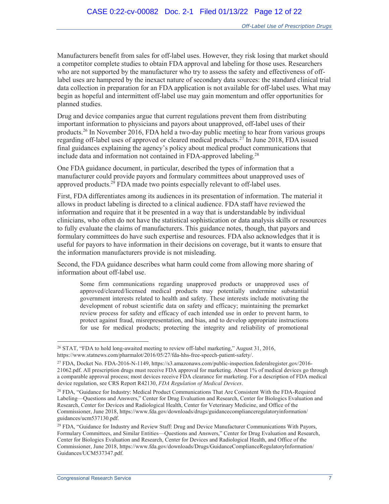Manufacturers benefit from sales for off-label uses. However, they risk losing that market should a competitor complete studies to obtain FDA approval and labeling for those uses. Researchers who are not supported by the manufacturer who try to assess the safety and effectiveness of offlabel uses are hampered by the inexact nature of secondary data sources: the standard clinical trial data collection in preparation for an FDA application is not available for off-label uses. What may begin as hopeful and intermittent off-label use may gain momentum and offer opportunities for planned studies.

Drug and device companies argue that current regulations prevent them from distributing important information to physicians and payors about unapproved, off-label uses of their products.<sup>26</sup> In November 2016, FDA held a two-day public meeting to hear from various groups regarding off-label uses of approved or cleared medical products.<sup>27</sup> In June 2018, FDA issued final guidances explaining the agency's policy about medical product communications that include data and information not contained in FDA-approved labeling.<sup>28</sup>

One FDA guidance document, in particular, described the types of information that a manufacturer could provide payors and formulary committees about unapproved uses of approved products.<sup>29</sup> FDA made two points especially relevant to off-label uses.

First, FDA differentiates among its audiences in its presentation of information. The material it allows in product labeling is directed to a clinical audience. FDA staff have reviewed the information and require that it be presented in a way that is understandable by individual clinicians, who often do not have the statistical sophistication or data analysis skills or resources to fully evaluate the claims of manufacturers. This guidance notes, though, that payors and formulary committees do have such expertise and resources. FDA also acknowledges that it is useful for payors to have information in their decisions on coverage, but it wants to ensure that the information manufacturers provide is not misleading.

Second, the FDA guidance describes what harm could come from allowing more sharing of information about off-label use.

Some firm communications regarding unapproved products or unapproved uses of approved/cleared/licensed medical products may potentially undermine substantial government interests related to health and safety. These interests include motivating the development of robust scientific data on safety and efficacy; maintaining the premarket review process for safety and efficacy of each intended use in order to prevent harm, to protect against fraud, misrepresentation, and bias, and to develop appropriate instructions for use for medical products; protecting the integrity and reliability of promotional

<sup>&</sup>lt;sup>26</sup> STAT, "FDA to hold long-awaited meeting to review off-label marketing," August 31, 2016, https://www.statnews.com/pharmalot/2016/05/27/fda-hhs-free-speech-patient-safety/.

<sup>27</sup> FDA, Docket No. FDA-2016-N-1149, https://s3.amazonaws.com/public-inspection.federalregister.gov/2016- 21062.pdf. All prescription drugs must receive FDA approval for marketing. About 1% of medical devices go through a comparable approval process; most devices receive FDA clearance for marketing. For a description of FDA medical device regulation, see CRS Report R42130, *FDA Regulation of Medical Devices*.

<sup>28</sup> FDA, "Guidance for Industry: Medical Product Communications That Are Consistent With the FDA-Required Labeling—Questions and Answers," Center for Drug Evaluation and Research, Center for Biologics Evaluation and Research, Center for Devices and Radiological Health, Center for Veterinary Medicine, and Office of the Commissioner, June 2018, https://www.fda.gov/downloads/drugs/guidancecomplianceregulatoryinformation/ guidances/ucm537130.pdf.

<sup>&</sup>lt;sup>29</sup> FDA, "Guidance for Industry and Review Staff: Drug and Device Manufacturer Communications With Payors, Formulary Committees, and Similar Entities—Questions and Answers," Center for Drug Evaluation and Research, Center for Biologics Evaluation and Research, Center for Devices and Radiological Health, and Office of the Commissioner, June 2018, https://www.fda.gov/downloads/Drugs/GuidanceComplianceRegulatoryInformation/ Guidances/UCM537347.pdf.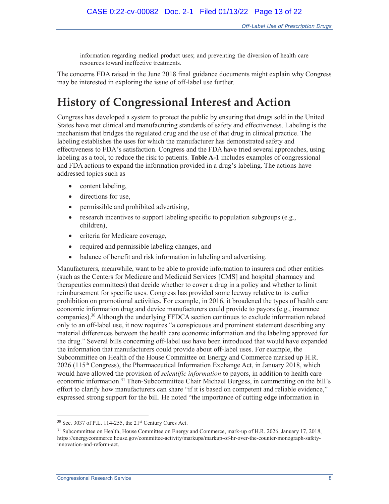information regarding medical product uses; and preventing the diversion of health care resources toward ineffective treatments.

The concerns FDA raised in the June 2018 final guidance documents might explain why Congress may be interested in exploring the issue of off-label use further.

## **History of Congressional Interest and Action**

Congress has developed a system to protect the public by ensuring that drugs sold in the United States have met clinical and manufacturing standards of safety and effectiveness. Labeling is the mechanism that bridges the regulated drug and the use of that drug in clinical practice. The labeling establishes the uses for which the manufacturer has demonstrated safety and effectiveness to FDA's satisfaction. Congress and the FDA have tried several approaches, using labeling as a tool, to reduce the risk to patients. **Table A-1** includes examples of congressional and FDA actions to expand the information provided in a drug's labeling. The actions have addressed topics such as

- content labeling,
- directions for use,
- permissible and prohibited advertising,
- $\bullet$  research incentives to support labeling specific to population subgroups (e.g., children),
- criteria for Medicare coverage,
- required and permissible labeling changes, and
- balance of benefit and risk information in labeling and advertising.

Manufacturers, meanwhile, want to be able to provide information to insurers and other entities (such as the Centers for Medicare and Medicaid Services [CMS] and hospital pharmacy and therapeutics committees) that decide whether to cover a drug in a policy and whether to limit reimbursement for specific uses. Congress has provided some leeway relative to its earlier prohibition on promotional activities. For example, in 2016, it broadened the types of health care economic information drug and device manufacturers could provide to payors (e.g., insurance companies).<sup>30</sup> Although the underlying FFDCA section continues to exclude information related only to an off-label use, it now requires "a conspicuous and prominent statement describing any material differences between the health care economic information and the labeling approved for the drug." Several bills concerning off-label use have been introduced that would have expanded the information that manufacturers could provide about off-label uses. For example, the Subcommittee on Health of the House Committee on Energy and Commerce marked up H.R.  $2026$  (115<sup>th</sup> Congress), the Pharmaceutical Information Exchange Act, in January 2018, which would have allowed the provision of *scientific information* to payors, in addition to health care economic information.<sup>31</sup> Then-Subcommittee Chair Michael Burgess, in commenting on the bill's effort to clarify how manufacturers can share "if it is based on competent and reliable evidence," expressed strong support for the bill. He noted "the importance of cutting edge information in

<sup>30</sup> Sec. 3037 of P.L. 114-255, the 21st Century Cures Act.

<sup>&</sup>lt;sup>31</sup> Subcommittee on Health, House Committee on Energy and Commerce, mark-up of H.R. 2026, January 17, 2018, https://energycommerce.house.gov/committee-activity/markups/markup-of-hr-over-the-counter-monograph-safetyinnovation-and-reform-act.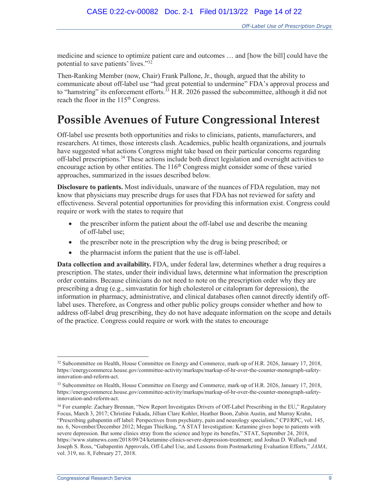medicine and science to optimize patient care and outcomes … and [how the bill] could have the potential to save patients' lives."<sup>32</sup>

Then-Ranking Member (now, Chair) Frank Pallone, Jr., though, argued that the ability to communicate about off-label use "had great potential to undermine" FDA's approval process and to "hamstring" its enforcement efforts.<sup>33</sup> H.R. 2026 passed the subcommittee, although it did not reach the floor in the 115<sup>th</sup> Congress.

## **Possible Avenues of Future Congressional Interest**

Off-label use presents both opportunities and risks to clinicians, patients, manufacturers, and researchers. At times, those interests clash. Academics, public health organizations, and journals have suggested what actions Congress might take based on their particular concerns regarding off-label prescriptions.<sup>34</sup> These actions include both direct legislation and oversight activities to encourage action by other entities. The 116<sup>th</sup> Congress might consider some of these varied approaches, summarized in the issues described below.

**Disclosure to patients.** Most individuals, unaware of the nuances of FDA regulation, may not know that physicians may prescribe drugs for uses that FDA has not reviewed for safety and effectiveness. Several potential opportunities for providing this information exist. Congress could require or work with the states to require that

- the prescriber inform the patient about the off-label use and describe the meaning of off-label use;
- $\bullet$  the prescriber note in the prescription why the drug is being prescribed; or
- $\bullet$  the pharmacist inform the patient that the use is off-label.

**Data collection and availability.** FDA, under federal law, determines whether a drug requires a prescription. The states, under their individual laws, determine what information the prescription order contains. Because clinicians do not need to note on the prescription order why they are prescribing a drug (e.g., simvastatin for high cholesterol or citalopram for depression), the information in pharmacy, administrative, and clinical databases often cannot directly identify offlabel uses. Therefore, as Congress and other public policy groups consider whether and how to address off-label drug prescribing, they do not have adequate information on the scope and details of the practice. Congress could require or work with the states to encourage

<sup>&</sup>lt;sup>32</sup> Subcommittee on Health, House Committee on Energy and Commerce, mark-up of H.R. 2026, January 17, 2018, https://energycommerce.house.gov/committee-activity/markups/markup-of-hr-over-the-counter-monograph-safetyinnovation-and-reform-act.

<sup>33</sup> Subcommittee on Health, House Committee on Energy and Commerce, mark-up of H.R. 2026, January 17, 2018, https://energycommerce.house.gov/committee-activity/markups/markup-of-hr-over-the-counter-monograph-safetyinnovation-and-reform-act.

<sup>&</sup>lt;sup>34</sup> For example: Zachary Brennan, "New Report Investigates Drivers of Off-Label Prescribing in the EU," Regulatory Focus, March 3, 2017; Christine Fukada, Jillian Clare Kohler, Heather Boon, Zubin Austin, and Murray Krahn, "Prescribing gabapentin off label: Perspectives from psychiatry, pain and neurology specialists," CPJ/RPC, vol. 145, no. 6, November/December 2012; Megan Thielking, "A STAT Investigation: Ketamine gives hope to patients with severe depression. But some clinics stray from the science and hype its benefits," STAT, September 24, 2018, https://www.statnews.com/2018/09/24/ketamine-clinics-severe-depression-treatment; and Joshua D. Wallach and Joseph S. Ross, "Gabapentin Approvals, Off-Label Use, and Lessons from Postmarketing Evaluation Efforts," *JAMA*, vol. 319, no. 8, February 27, 2018.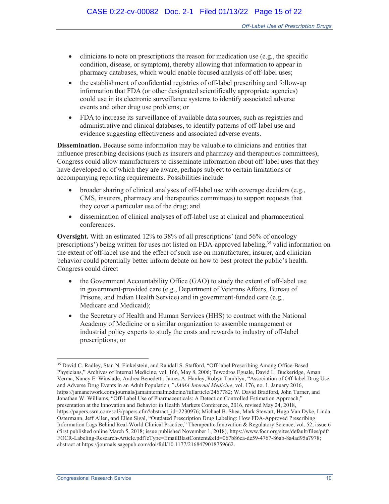- $\bullet$  clinicians to note on prescriptions the reason for medication use (e.g., the specific condition, disease, or symptom), thereby allowing that information to appear in pharmacy databases, which would enable focused analysis of off-label uses;
- the establishment of confidential registries of off-label prescribing and follow-up information that FDA (or other designated scientifically appropriate agencies) could use in its electronic surveillance systems to identify associated adverse events and other drug use problems; or
- FDA to increase its surveillance of available data sources, such as registries and administrative and clinical databases, to identify patterns of off-label use and evidence suggesting effectiveness and associated adverse events.

**Dissemination.** Because some information may be valuable to clinicians and entities that influence prescribing decisions (such as insurers and pharmacy and therapeutics committees), Congress could allow manufacturers to disseminate information about off-label uses that they have developed or of which they are aware, perhaps subject to certain limitations or accompanying reporting requirements. Possibilities include

- broader sharing of clinical analyses of off-label use with coverage deciders (e.g., CMS, insurers, pharmacy and therapeutics committees) to support requests that they cover a particular use of the drug; and
- x dissemination of clinical analyses of off-label use at clinical and pharmaceutical conferences.

**Oversight.** With an estimated 12% to 38% of all prescriptions' (and 56% of oncology prescriptions') being written for uses not listed on FDA-approved labeling,<sup>35</sup> valid information on the extent of off-label use and the effect of such use on manufacturer, insurer, and clinician behavior could potentially better inform debate on how to best protect the public's health. Congress could direct

- $\bullet$  the Government Accountability Office (GAO) to study the extent of off-label use in government-provided care (e.g., Department of Veterans Affairs, Bureau of Prisons, and Indian Health Service) and in government-funded care (e.g., Medicare and Medicaid);
- the Secretary of Health and Human Services (HHS) to contract with the National Academy of Medicine or a similar organization to assemble management or industrial policy experts to study the costs and rewards to industry of off-label prescriptions; or

<sup>35</sup> David C. Radley, Stan N. Finkelstein, and Randall S. Stafford, "Off-label Prescribing Among Office-Based Physicians," Archives of Internal Medicine, vol. 166, May 8, 2006; Tewodros Eguale, David L. Buckeridge, Aman Verma, Nancy E. Winslade, Andrea Benedetti, James A. Hanley, Robyn Tamblyn, "Association of Off-label Drug Use and Adverse Drug Events in an Adult Population*," JAMA Internal Medicine*, vol. 176, no. 1, January 2016, https://jamanetwork.com/journals/jamainternalmedicine/fullarticle/2467782; W. David Bradford, John Turner, and Jonathan W. Williams, "Off-Label Use of Pharmaceuticals: A Detection Controlled Estimation Approach," presentation at the Innovation and Behavior in Health Markets Conference, 2016, revised May 24, 2018, https://papers.ssrn.com/sol3/papers.cfm?abstract\_id=2230976; Michael B. Shea, Mark Stewart, Hugo Van Dyke, Linda Ostermann, Jeff Allen, and Ellen Sigal, "Outdated Prescription Drug Labeling: How FDA-Approved Prescribing Information Lags Behind Real-World Clinical Practice," Therapeutic Innovation & Regulatory Science, vol. 52, issue 6 (first published online March 5, 2018; issue published November 1, 2018), https://www.focr.org/sites/default/files/pdf/ FOCR-Labeling-Research-Article.pdf?eType=EmailBlastContent&eId=067b86ca-de59-4767-86ab-8a4ad95a7978; abstract at https://journals.sagepub.com/doi/full/10.1177/2168479018759662.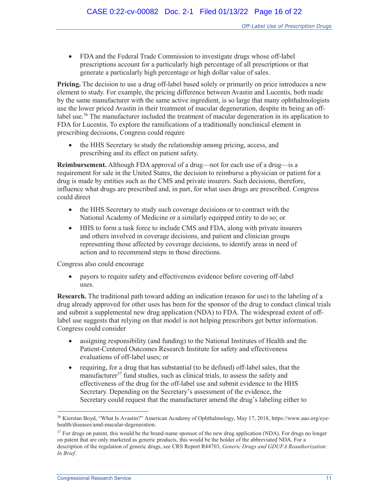• FDA and the Federal Trade Commission to investigate drugs whose off-label prescriptions account for a particularly high percentage of all prescriptions or that generate a particularly high percentage or high dollar value of sales.

**Pricing.** The decision to use a drug off-label based solely or primarily on price introduces a new element to study. For example, the pricing difference between Avastin and Lucentis, both made by the same manufacturer with the same active ingredient, is so large that many ophthalmologists use the lower priced Avastin in their treatment of macular degeneration, despite its being an offlabel use.<sup>36</sup> The manufacturer included the treatment of macular degeneration in its application to FDA for Lucentis. To explore the ramifications of a traditionally nonclinical element in prescribing decisions, Congress could require

• the HHS Secretary to study the relationship among pricing, access, and prescribing and its effect on patient safety.

**Reimbursement.** Although FDA approval of a drug—not for each use of a drug—is a requirement for sale in the United States, the decision to reimburse a physician or patient for a drug is made by entities such as the CMS and private insurers. Such decisions, therefore, influence what drugs are prescribed and, in part, for what uses drugs are prescribed. Congress could direct

- the HHS Secretary to study such coverage decisions or to contract with the National Academy of Medicine or a similarly equipped entity to do so; or
- x HHS to form a task force to include CMS and FDA, along with private insurers and others involved in coverage decisions, and patient and clinician groups representing those affected by coverage decisions, to identify areas in need of action and to recommend steps in those directions.

Congress also could encourage

• payors to require safety and effectiveness evidence before covering off-label uses.

**Research.** The traditional path toward adding an indication (reason for use) to the labeling of a drug already approved for other uses has been for the sponsor of the drug to conduct clinical trials and submit a supplemental new drug application (NDA) to FDA. The widespread extent of offlabel use suggests that relying on that model is not helping prescribers get better information. Congress could consider

- x assigning responsibility (and funding) to the National Institutes of Health and the Patient-Centered Outcomes Research Institute for safety and effectiveness evaluations of off-label uses; or
- requiring, for a drug that has substantial (to be defined) off-label sales, that the manufacturer $37$  fund studies, such as clinical trials, to assess the safety and effectiveness of the drug for the off-label use and submit evidence to the HHS Secretary. Depending on the Secretary's assessment of the evidence, the Secretary could request that the manufacturer amend the drug's labeling either to

<sup>36</sup> Kierstan Boyd, "What Is Avastin?" American Academy of Ophthalmology, May 17, 2018, https://www.aao.org/eyehealth/diseases/amd-macular-degeneration.

 $37$  For drugs on patent, this would be the brand-name sponsor of the new drug application (NDA). For drugs no longer on patent that are only marketed as generic products, this would be the holder of the abbreviated NDA. For a description of the regulation of generic drugs, see CRS Report R44703, *Generic Drugs and GDUFA Reauthorization: In Brief*.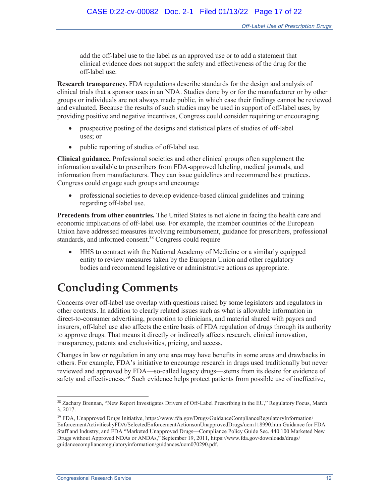add the off-label use to the label as an approved use or to add a statement that clinical evidence does not support the safety and effectiveness of the drug for the off-label use.

**Research transparency.** FDA regulations describe standards for the design and analysis of clinical trials that a sponsor uses in an NDA. Studies done by or for the manufacturer or by other groups or individuals are not always made public, in which case their findings cannot be reviewed and evaluated. Because the results of such studies may be used in support of off-label uses, by providing positive and negative incentives, Congress could consider requiring or encouraging

- prospective posting of the designs and statistical plans of studies of off-label uses; or
- public reporting of studies of off-label use.

**Clinical guidance.** Professional societies and other clinical groups often supplement the information available to prescribers from FDA-approved labeling, medical journals, and information from manufacturers. They can issue guidelines and recommend best practices. Congress could engage such groups and encourage

professional societies to develop evidence-based clinical guidelines and training regarding off-label use.

**Precedents from other countries.** The United States is not alone in facing the health care and economic implications of off-label use. For example, the member countries of the European Union have addressed measures involving reimbursement, guidance for prescribers, professional standards, and informed consent.<sup>38</sup> Congress could require

• HHS to contract with the National Academy of Medicine or a similarly equipped entity to review measures taken by the European Union and other regulatory bodies and recommend legislative or administrative actions as appropriate.

## **Concluding Comments**

Concerns over off-label use overlap with questions raised by some legislators and regulators in other contexts. In addition to clearly related issues such as what is allowable information in direct-to-consumer advertising, promotion to clinicians, and material shared with payors and insurers, off-label use also affects the entire basis of FDA regulation of drugs through its authority to approve drugs. That means it directly or indirectly affects research, clinical innovation, transparency, patents and exclusivities, pricing, and access.

Changes in law or regulation in any one area may have benefits in some areas and drawbacks in others. For example, FDA's initiative to encourage research in drugs used traditionally but never reviewed and approved by FDA—so-called legacy drugs—stems from its desire for evidence of safety and effectiveness.<sup>39</sup> Such evidence helps protect patients from possible use of ineffective,

<sup>38</sup> Zachary Brennan, "New Report Investigates Drivers of Off-Label Prescribing in the EU," Regulatory Focus, March 3, 2017.

<sup>39</sup> FDA, Unapproved Drugs Initiative, https://www.fda.gov/Drugs/GuidanceComplianceRegulatoryInformation/ EnforcementActivitiesbyFDA/SelectedEnforcementActionsonUnapprovedDrugs/ucm118990.htm Guidance for FDA Staff and Industry, and FDA "Marketed Unapproved Drugs—Compliance Policy Guide Sec. 440.100 Marketed New Drugs without Approved NDAs or ANDAs," September 19, 2011, https://www.fda.gov/downloads/drugs/ guidancecomplianceregulatoryinformation/guidances/ucm070290.pdf.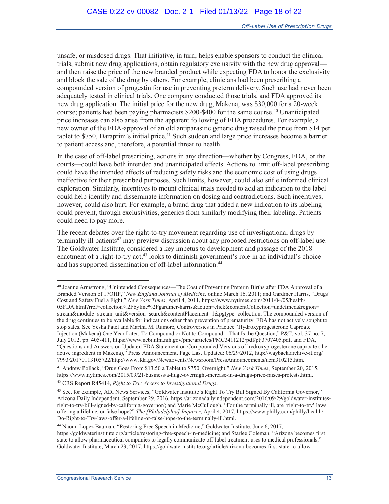unsafe, or misdosed drugs. That initiative, in turn, helps enable sponsors to conduct the clinical trials, submit new drug applications, obtain regulatory exclusivity with the new drug approval and then raise the price of the new branded product while expecting FDA to honor the exclusivity and block the sale of the drug by others. For example, clinicians had been prescribing a compounded version of progestin for use in preventing preterm delivery. Such use had never been adequately tested in clinical trials. One company conducted those trials, and FDA approved its new drug application. The initial price for the new drug, Makena, was \$30,000 for a 20-week course; patients had been paying pharmacists \$200-\$400 for the same course.<sup>40</sup> Unanticipated price increases can also arise from the apparent following of FDA procedures. For example, a new owner of the FDA-approval of an old antiparasitic generic drug raised the price from \$14 per tablet to \$750, Daraprim's initial price.<sup>41</sup> Such sudden and large price increases become a barrier to patient access and, therefore, a potential threat to health.

In the case of off-label prescribing, actions in any direction—whether by Congress, FDA, or the courts—could have both intended and unanticipated effects. Actions to limit off-label prescribing could have the intended effects of reducing safety risks and the economic cost of using drugs ineffective for their prescribed purposes. Such limits, however, could also stifle informed clinical exploration. Similarly, incentives to mount clinical trials needed to add an indication to the label could help identify and disseminate information on dosing and contradictions. Such incentives, however, could also hurt. For example, a brand drug that added a new indication to its labeling could prevent, through exclusivities, generics from similarly modifying their labeling. Patients could need to pay more.

The recent debates over the right-to-try movement regarding use of investigational drugs by terminally ill patients<sup>42</sup> may preview discussion about any proposed restrictions on off-label use. The Goldwater Institute, considered a key impetus to development and passage of the 2018 enactment of a right-to-try act,<sup>43</sup> looks to diminish government's role in an individual's choice and has supported dissemination of off-label information.<sup>44</sup>

<sup>40</sup> Joanne Armstrong, "Unintended Consequences—The Cost of Preventing Preterm Births after FDA Approval of a Branded Version of 17OHP," *New England Journal of Medicine,* online March 16, 2011; and Gardiner Harris, "Drugs' Cost and Safety Fuel a Fight," *New York Times*, April 4, 2011, https://www.nytimes.com/2011/04/05/health/ 05FDA.html?rref=collection%2Fbyline%2Fgardiner-harris&action=click&contentCollection=undefined&region= stream&module=stream\_unit&version=search&contentPlacement=1&pgtype=collection. The compounded version of the drug continues to be available for indications other than prevention of prematurity. FDA has not actively sought to stop sales. See Yesha Patel and Martha M. Rumore, Controversies in Practice "Hydroxyprogesterone Caproate Injection (Makena) One Year Later: To Compound or Not to Compound—That Is the Question," P&T, vol. 37 no. 7, July 2012, pp. 405-411, https://www.ncbi.nlm.nih.gov/pmc/articles/PMC3411212/pdf/ptj3707405.pdf, and FDA, "Questions and Answers on Updated FDA Statement on Compounded Versions of hydroxyprogesterone caproate (the active ingredient in Makena)," Press Announcement, Page Last Updated: 06/29/2012, http://wayback.archive-it.org/ 7993/20170113105722/http://www.fda.gov/NewsEvents/Newsroom/PressAnnouncements/ucm310215.htm.

<sup>41</sup> Andrew Pollack, "Drug Goes From \$13.50 a Tablet to \$750, Overnight," *New York Times*, September 20, 2015, https://www.nytimes.com/2015/09/21/business/a-huge-overnight-increase-in-a-drugs-price-raises-protests.html.

<sup>42</sup> CRS Report R45414, *Right to Try: Access to Investigational Drugs*.

<sup>&</sup>lt;sup>43</sup> See, for example, ADI News Services, "Goldwater Institute's Right To Try Bill Signed By California Governor," Arizona Daily Independent, September 29, 2016, https://arizonadailyindependent.com/2016/09/29/goldwater-institutesright-to-try-bill-signed-by-california-governor/; and Marie McCullough, "For the terminally ill, are 'right-to-try' laws offering a lifeline, or false hope?" *The [Philadelphia] Inquirer*, April 4, 2017, https://www.philly.com/philly/health/ Do-Right-to-Try-laws-offer-a-lifeline-or-false-hope-to-the-terminally-ill.html.

<sup>44</sup> Naomi Lopez Bauman, "Restoring Free Speech in Medicine," Goldwater Institute, June 6, 2017, https://goldwaterinstitute.org/article/restoring-free-speech-in-medicine; and Starlee Coleman, "Arizona becomes first state to allow pharmaceutical companies to legally communicate off-label treatment uses to medical professionals," Goldwater Institute, March 23, 2017, https://goldwaterinstitute.org/article/arizona-becomes-first-state-to-allow-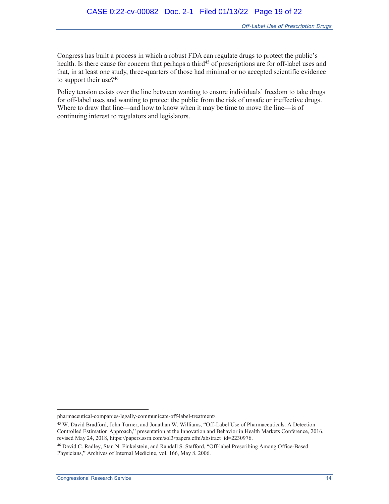Congress has built a process in which a robust FDA can regulate drugs to protect the public's health. Is there cause for concern that perhaps a third<sup>45</sup> of prescriptions are for off-label uses and that, in at least one study, three-quarters of those had minimal or no accepted scientific evidence to support their use? $46$ 

Policy tension exists over the line between wanting to ensure individuals' freedom to take drugs for off-label uses and wanting to protect the public from the risk of unsafe or ineffective drugs. Where to draw that line—and how to know when it may be time to move the line—is of continuing interest to regulators and legislators.

pharmaceutical-companies-legally-communicate-off-label-treatment/.

<sup>45</sup> W. David Bradford, John Turner, and Jonathan W. Williams, "Off-Label Use of Pharmaceuticals: A Detection Controlled Estimation Approach," presentation at the Innovation and Behavior in Health Markets Conference, 2016, revised May 24, 2018, https://papers.ssrn.com/sol3/papers.cfm?abstract\_id=2230976.

<sup>46</sup> David C. Radley, Stan N. Finkelstein, and Randall S. Stafford, "Off-label Prescribing Among Office-Based Physicians," Archives of Internal Medicine, vol. 166, May 8, 2006.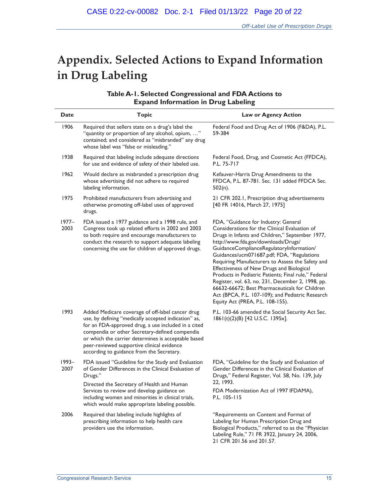## **Appendix. Selected Actions to Expand Information in Drug Labeling**

| Table A-1. Selected Congressional and FDA Actions to |
|------------------------------------------------------|
| <b>Expand Information in Drug Labeling</b>           |

| Date             | <b>Topic</b>                                                                                                                                                                                                                                                                                                                                                        | <b>Law or Agency Action</b>                                                                                                                                                                                                                                                                                                                                                                                                                                                                                                                                                                                                       |  |  |
|------------------|---------------------------------------------------------------------------------------------------------------------------------------------------------------------------------------------------------------------------------------------------------------------------------------------------------------------------------------------------------------------|-----------------------------------------------------------------------------------------------------------------------------------------------------------------------------------------------------------------------------------------------------------------------------------------------------------------------------------------------------------------------------------------------------------------------------------------------------------------------------------------------------------------------------------------------------------------------------------------------------------------------------------|--|--|
| 1906             | Required that sellers state on a drug's label the<br>"quantity or proportion of any alcohol, opium, "<br>contained; and considered as "misbranded" any drug<br>whose label was "false or misleading."                                                                                                                                                               | Federal Food and Drug Act of 1906 (F&DA), P.L.<br>59-384                                                                                                                                                                                                                                                                                                                                                                                                                                                                                                                                                                          |  |  |
| 1938             | Required that labeling include adequate directions<br>for use and evidence of safety of their labeled use.                                                                                                                                                                                                                                                          | Federal Food, Drug, and Cosmetic Act (FFDCA),<br>P.L. 75-717                                                                                                                                                                                                                                                                                                                                                                                                                                                                                                                                                                      |  |  |
| 1962             | Would declare as misbranded a prescription drug<br>whose advertising did not adhere to required<br>labeling information.                                                                                                                                                                                                                                            | Kefauver-Harris Drug Amendments to the<br>FFDCA, P.L. 87-781. Sec. 131 added FFDCA Sec.<br>$502(n)$ .                                                                                                                                                                                                                                                                                                                                                                                                                                                                                                                             |  |  |
| 1975             | Prohibited manufacturers from advertising and<br>otherwise promoting off-label uses of approved<br>drugs.                                                                                                                                                                                                                                                           | 21 CFR 202.1, Prescription drug advertisements<br>[40 FR 14016, March 27, 1975]                                                                                                                                                                                                                                                                                                                                                                                                                                                                                                                                                   |  |  |
| $1977-$<br>2003  | FDA issued a 1977 guidance and a 1998 rule, and<br>Congress took up related efforts in 2002 and 2003<br>to both require and encourage manufacturers to<br>conduct the research to support adequate labeling<br>concerning the use for children of approved drugs.                                                                                                   | FDA, "Guidance for Industry: General<br>Considerations for the Clinical Evaluation of<br>Drugs in Infants and Children," September 1977,<br>http://www.fda.gov/downloads/Drugs/<br>GuidanceComplianceRegulatoryInformation/<br>Guidances/ucm071687.pdf; FDA, "Regulations<br>Requiring Manufacturers to Assess the Safety and<br>Effectiveness of New Drugs and Biological<br>Products in Pediatric Patients; Final rule," Federal<br>Register, vol. 63, no. 231, December 2, 1998, pp.<br>66632-66672; Best Pharmaceuticals for Children<br>Act (BPCA, P.L. 107-109); and Pediatric Research<br>Equity Act (PREA, P.L. 108-155). |  |  |
| 1993             | Added Medicare coverage of off-label cancer drug<br>use, by defining "medically accepted indication" as,<br>for an FDA-approved drug, a use included in a cited<br>compendia or other Secretary-defined compendia<br>or which the carrier determines is acceptable based<br>peer-reviewed supportive clinical evidence<br>according to guidance from the Secretary. | P.L. 103-66 amended the Social Security Act Sec.<br>1861(t)(2)(B) [42 U.S.C. 1395x].                                                                                                                                                                                                                                                                                                                                                                                                                                                                                                                                              |  |  |
| $1993 -$<br>2007 | FDA issued "Guideline for the Study and Evaluation<br>of Gender Differences in the Clinical Evaluation of<br>Drugs."<br>Directed the Secretary of Health and Human<br>Services to review and develop guidance on<br>including women and minorities in clinical trials,<br>which would make appropriate labeling possible.                                           | FDA, "Guideline for the Study and Evaluation of<br>Gender Differences in the Clinical Evaluation of<br>Drugs," Federal Register, Vol. 58, No. 139, July<br>22, 1993.<br>FDA Modernization Act of 1997 IFDAMA),<br>P.L. 105-115                                                                                                                                                                                                                                                                                                                                                                                                    |  |  |
| 2006             | Required that labeling include highlights of<br>prescribing information to help health care<br>providers use the information.                                                                                                                                                                                                                                       | "Requirements on Content and Format of<br>Labeling for Human Prescription Drug and<br>Biological Products," referred to as the "Physician<br>Labeling Rule," 71 FR 3922, January 24, 2006,<br>21 CFR 201.56 and 201.57.                                                                                                                                                                                                                                                                                                                                                                                                           |  |  |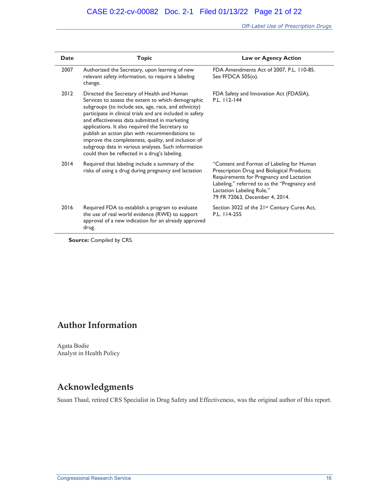*Off-Label Use of Prescription Drugs* 

| <b>Date</b> | <b>Topic</b>                                                                                                                                                                                                                                                                                                                                                                                                                                                                                                                               | <b>Law or Agency Action</b>                                                                                                                                                                                                                        |
|-------------|--------------------------------------------------------------------------------------------------------------------------------------------------------------------------------------------------------------------------------------------------------------------------------------------------------------------------------------------------------------------------------------------------------------------------------------------------------------------------------------------------------------------------------------------|----------------------------------------------------------------------------------------------------------------------------------------------------------------------------------------------------------------------------------------------------|
| 2007        | Authorized the Secretary, upon learning of new<br>relevant safety information, to require a labeling<br>change.                                                                                                                                                                                                                                                                                                                                                                                                                            | FDA Amendments Act of 2007, P.L. 110-85.<br>See FFDCA $505$ (o).                                                                                                                                                                                   |
| 2012        | Directed the Secretary of Health and Human<br>Services to assess the extent to which demographic<br>subgroups (to include sex, age, race, and ethnicity)<br>participate in clinical trials and are included in safety<br>and effectiveness data submitted in marketing<br>applications. It also required the Secretary to<br>publish an action plan with recommendations to<br>improve the completeness, quality, and inclusion of<br>subgroup data in various analyses. Such information<br>could then be reflected in a drug's labeling. | FDA Safety and Innovation Act (FDASIA),<br>P.L. 112-144                                                                                                                                                                                            |
| 2014        | Required that labeling include a summary of the<br>risks of using a drug during pregnancy and lactation                                                                                                                                                                                                                                                                                                                                                                                                                                    | "Content and Format of Labeling for Human<br>Prescription Drug and Biological Products;<br>Requirements for Pregnancy and Lactation<br>Labeling," referred to as the "Pregnancy and<br>Lactation Labeling Rule,"<br>79 FR 72063, December 4, 2014. |
| 2016        | Required FDA to establish a program to evaluate<br>the use of real world evidence (RWE) to support<br>approval of a new indication for an already approved<br>drug.                                                                                                                                                                                                                                                                                                                                                                        | Section 3022 of the 21 <sup>st</sup> Century Cures Act,<br>P.L. 114-255                                                                                                                                                                            |

**Source:** Compiled by CRS.

### **Author Information**

Agata Bodie Analyst in Health Policy

### **Acknowledgments**

Susan Thaul, retired CRS Specialist in Drug Safety and Effectiveness, was the original author of this report.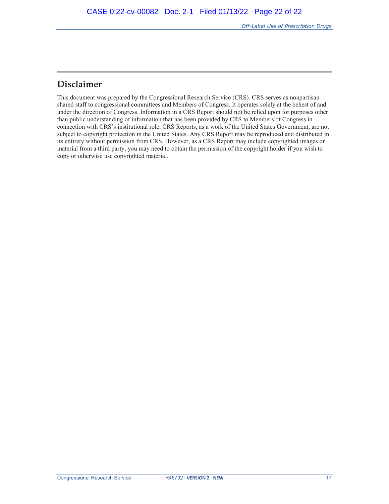### **Disclaimer**

This document was prepared by the Congressional Research Service (CRS). CRS serves as nonpartisan shared staff to congressional committees and Members of Congress. It operates solely at the behest of and under the direction of Congress. Information in a CRS Report should not be relied upon for purposes other than public understanding of information that has been provided by CRS to Members of Congress in connection with CRS's institutional role. CRS Reports, as a work of the United States Government, are not subject to copyright protection in the United States. Any CRS Report may be reproduced and distributed in its entirety without permission from CRS. However, as a CRS Report may include copyrighted images or material from a third party, you may need to obtain the permission of the copyright holder if you wish to copy or otherwise use copyrighted material.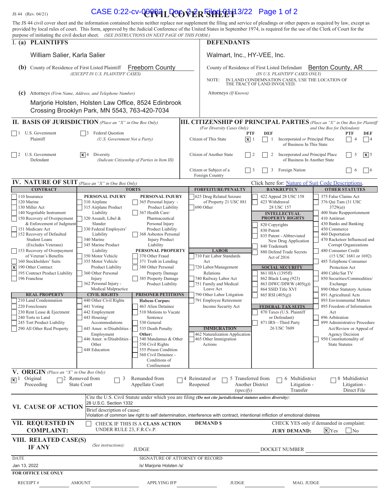### JS 44 (Rev. 04/21) **CASE 0:22-cv-000094L DOO VER FILED 1:42** Page 1 of 2

|                                                                                                                                                                                                                                                                                                                                                                                                                                                                                                                                                                                                                          | The JS 44 civil cover sheet and the information contained herein neither replace nor supplement the filing and service of pleadings or other papers as required by law, except as<br>provided by local rules of court. This form, approved by the Judicial Conference of the United States in September 1974, is required for the use of the Clerk of Court for the                                                                                                                                                                                                                                            |                                                                                                                                                                                                                                                                                                                                                                                                                                                                                                                                                                                                                                          |                                                                                                                                                                                                                                                                                                                                                                                                                                  |                                                                                                                                                                                                                                                                                                                                                                                                                                                                                                                                       |                                                                                                                                                                                                                                                                                                                                                                                                                                                                                                                                                                                                                                                                                                     |  |
|--------------------------------------------------------------------------------------------------------------------------------------------------------------------------------------------------------------------------------------------------------------------------------------------------------------------------------------------------------------------------------------------------------------------------------------------------------------------------------------------------------------------------------------------------------------------------------------------------------------------------|----------------------------------------------------------------------------------------------------------------------------------------------------------------------------------------------------------------------------------------------------------------------------------------------------------------------------------------------------------------------------------------------------------------------------------------------------------------------------------------------------------------------------------------------------------------------------------------------------------------|------------------------------------------------------------------------------------------------------------------------------------------------------------------------------------------------------------------------------------------------------------------------------------------------------------------------------------------------------------------------------------------------------------------------------------------------------------------------------------------------------------------------------------------------------------------------------------------------------------------------------------------|----------------------------------------------------------------------------------------------------------------------------------------------------------------------------------------------------------------------------------------------------------------------------------------------------------------------------------------------------------------------------------------------------------------------------------|---------------------------------------------------------------------------------------------------------------------------------------------------------------------------------------------------------------------------------------------------------------------------------------------------------------------------------------------------------------------------------------------------------------------------------------------------------------------------------------------------------------------------------------|-----------------------------------------------------------------------------------------------------------------------------------------------------------------------------------------------------------------------------------------------------------------------------------------------------------------------------------------------------------------------------------------------------------------------------------------------------------------------------------------------------------------------------------------------------------------------------------------------------------------------------------------------------------------------------------------------------|--|
| I. (a) PLAINTIFFS                                                                                                                                                                                                                                                                                                                                                                                                                                                                                                                                                                                                        | purpose of initiating the civil docket sheet. (SEE INSTRUCTIONS ON NEXT PAGE OF THIS FORM.)                                                                                                                                                                                                                                                                                                                                                                                                                                                                                                                    | <b>DEFENDANTS</b>                                                                                                                                                                                                                                                                                                                                                                                                                                                                                                                                                                                                                        |                                                                                                                                                                                                                                                                                                                                                                                                                                  |                                                                                                                                                                                                                                                                                                                                                                                                                                                                                                                                       |                                                                                                                                                                                                                                                                                                                                                                                                                                                                                                                                                                                                                                                                                                     |  |
| William Salier, Karla Salier                                                                                                                                                                                                                                                                                                                                                                                                                                                                                                                                                                                             |                                                                                                                                                                                                                                                                                                                                                                                                                                                                                                                                                                                                                |                                                                                                                                                                                                                                                                                                                                                                                                                                                                                                                                                                                                                                          | Walmart, Inc., HY-VEE, Inc.                                                                                                                                                                                                                                                                                                                                                                                                      |                                                                                                                                                                                                                                                                                                                                                                                                                                                                                                                                       |                                                                                                                                                                                                                                                                                                                                                                                                                                                                                                                                                                                                                                                                                                     |  |
| (b)<br>County of Residence of First Listed Plaintiff                                                                                                                                                                                                                                                                                                                                                                                                                                                                                                                                                                     | <b>Freeborn County</b><br>(EXCEPT IN U.S. PLAINTIFF CASES)                                                                                                                                                                                                                                                                                                                                                                                                                                                                                                                                                     |                                                                                                                                                                                                                                                                                                                                                                                                                                                                                                                                                                                                                                          | NOTE:                                                                                                                                                                                                                                                                                                                                                                                                                            | County of Residence of First Listed Defendant Benton County, AR<br>(IN U.S. PLAINTIFF CASES ONLY)<br>IN LAND CONDEMNATION CASES, USE THE LOCATION OF<br>THE TRACT OF LAND INVOLVED.                                                                                                                                                                                                                                                                                                                                                   |                                                                                                                                                                                                                                                                                                                                                                                                                                                                                                                                                                                                                                                                                                     |  |
| (c)                                                                                                                                                                                                                                                                                                                                                                                                                                                                                                                                                                                                                      | Attorneys (Firm Name, Address, and Telephone Number)                                                                                                                                                                                                                                                                                                                                                                                                                                                                                                                                                           |                                                                                                                                                                                                                                                                                                                                                                                                                                                                                                                                                                                                                                          | Attorneys (If Known)                                                                                                                                                                                                                                                                                                                                                                                                             |                                                                                                                                                                                                                                                                                                                                                                                                                                                                                                                                       |                                                                                                                                                                                                                                                                                                                                                                                                                                                                                                                                                                                                                                                                                                     |  |
|                                                                                                                                                                                                                                                                                                                                                                                                                                                                                                                                                                                                                          | Marjorie Holsten, Holsten Law Office, 8524 Edinbrook<br>Crossing Brooklyn Park, MN 5543, 763-420-7034                                                                                                                                                                                                                                                                                                                                                                                                                                                                                                          |                                                                                                                                                                                                                                                                                                                                                                                                                                                                                                                                                                                                                                          |                                                                                                                                                                                                                                                                                                                                                                                                                                  |                                                                                                                                                                                                                                                                                                                                                                                                                                                                                                                                       |                                                                                                                                                                                                                                                                                                                                                                                                                                                                                                                                                                                                                                                                                                     |  |
|                                                                                                                                                                                                                                                                                                                                                                                                                                                                                                                                                                                                                          | <b>II. BASIS OF JURISDICTION</b> (Place an "X" in One Box Only)                                                                                                                                                                                                                                                                                                                                                                                                                                                                                                                                                |                                                                                                                                                                                                                                                                                                                                                                                                                                                                                                                                                                                                                                          |                                                                                                                                                                                                                                                                                                                                                                                                                                  |                                                                                                                                                                                                                                                                                                                                                                                                                                                                                                                                       | <b>III. CITIZENSHIP OF PRINCIPAL PARTIES</b> (Place an "X" in One Box for Plaintiff                                                                                                                                                                                                                                                                                                                                                                                                                                                                                                                                                                                                                 |  |
| U.S. Government<br>Plaintiff                                                                                                                                                                                                                                                                                                                                                                                                                                                                                                                                                                                             | <b>Federal Question</b><br>$\vert$ 3<br>(U.S. Government Not a Party)                                                                                                                                                                                                                                                                                                                                                                                                                                                                                                                                          |                                                                                                                                                                                                                                                                                                                                                                                                                                                                                                                                                                                                                                          | (For Diversity Cases Only)<br><b>PTF</b><br>$\boxed{\mathbf{x}}$ 1<br>Citizen of This State                                                                                                                                                                                                                                                                                                                                      | <b>DEF</b><br>Incorporated or Principal Place<br>1<br>of Business In This State                                                                                                                                                                                                                                                                                                                                                                                                                                                       | and One Box for Defendant)<br><b>PTF</b><br>DEF<br>$\overline{4}$<br>$ $  4                                                                                                                                                                                                                                                                                                                                                                                                                                                                                                                                                                                                                         |  |
| U.S. Government<br>$\frac{12}{2}$<br>Defendant                                                                                                                                                                                                                                                                                                                                                                                                                                                                                                                                                                           | $ \mathbf{x} $ 4<br>Diversity<br>(Indicate Citizenship of Parties in Item III)                                                                                                                                                                                                                                                                                                                                                                                                                                                                                                                                 |                                                                                                                                                                                                                                                                                                                                                                                                                                                                                                                                                                                                                                          | Citizen of Another State<br>$\vert$ 2                                                                                                                                                                                                                                                                                                                                                                                            | Incorporated and Principal Place<br>2<br>of Business In Another State                                                                                                                                                                                                                                                                                                                                                                                                                                                                 | $\overline{\mathbf{x}}$ 5<br>5                                                                                                                                                                                                                                                                                                                                                                                                                                                                                                                                                                                                                                                                      |  |
|                                                                                                                                                                                                                                                                                                                                                                                                                                                                                                                                                                                                                          |                                                                                                                                                                                                                                                                                                                                                                                                                                                                                                                                                                                                                |                                                                                                                                                                                                                                                                                                                                                                                                                                                                                                                                                                                                                                          | Citizen or Subject of a<br>$\vert$ 3<br>Foreign Country                                                                                                                                                                                                                                                                                                                                                                          | Foreign Nation<br>3                                                                                                                                                                                                                                                                                                                                                                                                                                                                                                                   | 6<br>$\vert$ 6                                                                                                                                                                                                                                                                                                                                                                                                                                                                                                                                                                                                                                                                                      |  |
| <b>IV. NATURE OF SUIT</b> (Place an "X" in One Box Only)                                                                                                                                                                                                                                                                                                                                                                                                                                                                                                                                                                 |                                                                                                                                                                                                                                                                                                                                                                                                                                                                                                                                                                                                                |                                                                                                                                                                                                                                                                                                                                                                                                                                                                                                                                                                                                                                          |                                                                                                                                                                                                                                                                                                                                                                                                                                  | Click here for: Nature of Suit Code Descriptions.                                                                                                                                                                                                                                                                                                                                                                                                                                                                                     |                                                                                                                                                                                                                                                                                                                                                                                                                                                                                                                                                                                                                                                                                                     |  |
| <b>CONTRACT</b><br>110 Insurance<br>120 Marine<br>130 Miller Act<br>140 Negotiable Instrument<br>150 Recovery of Overpayment<br>& Enforcement of Judgment<br>151 Medicare Act<br>152 Recovery of Defaulted<br><b>Student Loans</b><br>(Excludes Veterans)<br>153 Recovery of Overpayment<br>of Veteran's Benefits<br>160 Stockholders' Suits<br>$ \mathbf{x} $ 190 Other Contract<br>195 Contract Product Liability<br>196 Franchise<br><b>REAL PROPERTY</b><br>210 Land Condemnation<br>220 Foreclosure<br>230 Rent Lease & Ejectment<br>240 Torts to Land<br>245 Tort Product Liability<br>290 All Other Real Property | <b>TORTS</b><br>PERSONAL INJURY<br>310 Airplane<br>315 Airplane Product<br>Liability<br>320 Assault, Libel &<br>Slander<br>330 Federal Employers'<br>Liability<br>340 Marine<br>345 Marine Product<br>Liability<br>350 Motor Vehicle<br>355 Motor Vehicle<br>Product Liability<br>360 Other Personal<br>Injury<br>362 Personal Injury -<br>Medical Malpractice<br><b>CIVIL RIGHTS</b><br>440 Other Civil Rights<br>441 Voting<br>442 Employment<br>443 Housing/<br>530 General<br>Accommodations<br>445 Amer. w/Disabilities -<br>Employment<br>Other:<br>446 Amer. w/Disabilities -<br>Other<br>448 Education | PERSONAL INJURY<br>365 Personal Injury -<br>Product Liability<br>367 Health Care/<br>Pharmaceutical<br>Personal Injury<br>Product Liability<br>368 Asbestos Personal<br><b>Injury Product</b><br>Liability<br>PERSONAL PROPERTY<br>370 Other Fraud<br>371 Truth in Lending<br>380 Other Personal<br><b>Property Damage</b><br>385 Property Damage<br>Product Liability<br><b>PRISONER PETITIONS</b><br><b>Habeas Corpus:</b><br>463 Alien Detainee<br>510 Motions to Vacate<br>Sentence<br>535 Death Penalty<br>540 Mandamus & Other<br>550 Civil Rights<br>555 Prison Condition<br>560 Civil Detainee -<br>Conditions of<br>Confinement | <b>FORFEITURE/PENALTY</b><br>625 Drug Related Seizure<br>of Property 21 USC 881<br>690 Other<br><b>LABOR</b><br>710 Fair Labor Standards<br>Act<br>720 Labor/Management<br>Relations<br>740 Railway Labor Act<br>751 Family and Medical<br>Leave Act<br>790 Other Labor Litigation<br>791 Employee Retirement<br>Income Security Act<br><b>IMMIGRATION</b><br>462 Naturalization Application<br>465 Other Immigration<br>Actions | <b>BANKRUPTCY</b><br>422 Appeal 28 USC 158<br>423 Withdrawal<br>28 USC 157<br><b>INTELLECTUAL</b><br><b>PROPERTY RIGHTS</b><br>820 Copyrights<br>830 Patent<br>835 Patent - Abbreviated<br>New Drug Application<br>840 Trademark<br>880 Defend Trade Secrets<br>Act of 2016<br><b>SOCIAL SECURITY</b><br>861 HIA (1395ff)<br>862 Black Lung (923)<br>863 DIWC/DIWW (405(g))<br>864 SSID Title XVI<br>865 RSI (405(g))<br><b>FEDERAL TAX SUITS</b><br>870 Taxes (U.S. Plaintiff<br>or Defendant)<br>871 IRS-Third Party<br>26 USC 7609 | <b>OTHER STATUTES</b><br>375 False Claims Act<br>376 Qui Tam (31 USC<br>3729(a)<br>400 State Reapportionment<br>410 Antitrust<br>430 Banks and Banking<br>450 Commerce<br>460 Deportation<br>470 Racketeer Influenced and<br>Corrupt Organizations<br>480 Consumer Credit<br>$(15$ USC $1681$ or $1692)$<br>485 Telephone Consumer<br>Protection Act<br>490 Cable/Sat TV<br>850 Securities/Commodities/<br>Exchange<br>890 Other Statutory Actions<br>891 Agricultural Acts<br>893 Environmental Matters<br>895 Freedom of Information<br>Act<br>896 Arbitration<br>899 Administrative Procedure<br>Act/Review or Appeal of<br>Agency Decision<br>950 Constitutionality of<br><b>State Statutes</b> |  |
| V. ORIGIN (Place an "X" in One Box Only)<br>Original<br>$\Box$ <sub>2</sub> Removed from<br>Remanded from<br>14 Reinstated or<br>5 Transferred from<br>6 Multidistrict<br>8 Multidistrict<br>$\overline{\mathbf{x}}$ <sup>1</sup><br>3<br>Proceeding<br><b>State Court</b><br>Reopened<br>Another District<br>Appellate Court<br>Litigation -<br>Litigation -<br>Transfer<br>Direct File<br>(specify)<br>Cite the U.S. Civil Statute under which you are filing (Do not cite jurisdictional statutes unless diversity):                                                                                                  |                                                                                                                                                                                                                                                                                                                                                                                                                                                                                                                                                                                                                |                                                                                                                                                                                                                                                                                                                                                                                                                                                                                                                                                                                                                                          |                                                                                                                                                                                                                                                                                                                                                                                                                                  |                                                                                                                                                                                                                                                                                                                                                                                                                                                                                                                                       |                                                                                                                                                                                                                                                                                                                                                                                                                                                                                                                                                                                                                                                                                                     |  |
| 28 U.S.C. Section 1332<br>VI. CAUSE OF ACTION<br>Brief description of cause:<br>Violation of common law right to self determination, interference with contract, intentional infliction of emotional distress                                                                                                                                                                                                                                                                                                                                                                                                            |                                                                                                                                                                                                                                                                                                                                                                                                                                                                                                                                                                                                                |                                                                                                                                                                                                                                                                                                                                                                                                                                                                                                                                                                                                                                          |                                                                                                                                                                                                                                                                                                                                                                                                                                  |                                                                                                                                                                                                                                                                                                                                                                                                                                                                                                                                       |                                                                                                                                                                                                                                                                                                                                                                                                                                                                                                                                                                                                                                                                                                     |  |
| VII. REQUESTED IN<br><b>COMPLAINT:</b>                                                                                                                                                                                                                                                                                                                                                                                                                                                                                                                                                                                   | CHECK IF THIS IS A CLASS ACTION<br>UNDER RULE 23, F.R.Cv.P.                                                                                                                                                                                                                                                                                                                                                                                                                                                                                                                                                    |                                                                                                                                                                                                                                                                                                                                                                                                                                                                                                                                                                                                                                          | <b>DEMAND \$</b>                                                                                                                                                                                                                                                                                                                                                                                                                 | <b>JURY DEMAND:</b>                                                                                                                                                                                                                                                                                                                                                                                                                                                                                                                   | CHECK YES only if demanded in complaint:<br>$\mathbf{x}$ Yes<br>$\overline{N}$                                                                                                                                                                                                                                                                                                                                                                                                                                                                                                                                                                                                                      |  |
| VIII. RELATED CASE(S)<br><b>IF ANY</b>                                                                                                                                                                                                                                                                                                                                                                                                                                                                                                                                                                                   | (See instructions):<br><b>JUDGE</b>                                                                                                                                                                                                                                                                                                                                                                                                                                                                                                                                                                            |                                                                                                                                                                                                                                                                                                                                                                                                                                                                                                                                                                                                                                          |                                                                                                                                                                                                                                                                                                                                                                                                                                  | DOCKET NUMBER                                                                                                                                                                                                                                                                                                                                                                                                                                                                                                                         |                                                                                                                                                                                                                                                                                                                                                                                                                                                                                                                                                                                                                                                                                                     |  |
| <b>DATE</b>                                                                                                                                                                                                                                                                                                                                                                                                                                                                                                                                                                                                              |                                                                                                                                                                                                                                                                                                                                                                                                                                                                                                                                                                                                                | SIGNATURE OF ATTORNEY OF RECORD                                                                                                                                                                                                                                                                                                                                                                                                                                                                                                                                                                                                          |                                                                                                                                                                                                                                                                                                                                                                                                                                  |                                                                                                                                                                                                                                                                                                                                                                                                                                                                                                                                       |                                                                                                                                                                                                                                                                                                                                                                                                                                                                                                                                                                                                                                                                                                     |  |
| Jan 13, 2022<br><b>FOR OFFICE USE ONLY</b>                                                                                                                                                                                                                                                                                                                                                                                                                                                                                                                                                                               |                                                                                                                                                                                                                                                                                                                                                                                                                                                                                                                                                                                                                | /s/ Marjorie Holsten /s/                                                                                                                                                                                                                                                                                                                                                                                                                                                                                                                                                                                                                 |                                                                                                                                                                                                                                                                                                                                                                                                                                  |                                                                                                                                                                                                                                                                                                                                                                                                                                                                                                                                       |                                                                                                                                                                                                                                                                                                                                                                                                                                                                                                                                                                                                                                                                                                     |  |
| <b>RECEIPT#</b>                                                                                                                                                                                                                                                                                                                                                                                                                                                                                                                                                                                                          | <b>AMOUNT</b>                                                                                                                                                                                                                                                                                                                                                                                                                                                                                                                                                                                                  | <b>APPLYING IFP</b>                                                                                                                                                                                                                                                                                                                                                                                                                                                                                                                                                                                                                      | <b>JUDGE</b>                                                                                                                                                                                                                                                                                                                                                                                                                     | MAG. JUDGE                                                                                                                                                                                                                                                                                                                                                                                                                                                                                                                            |                                                                                                                                                                                                                                                                                                                                                                                                                                                                                                                                                                                                                                                                                                     |  |